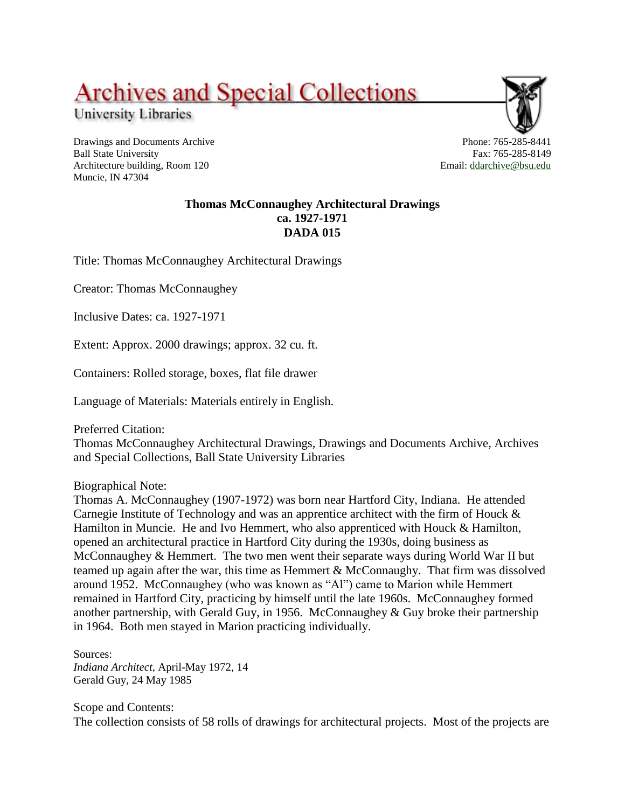## **Archives and Special Collections**

University Libraries

Drawings and Documents Archive Ball State University Architecture building, Room 120 Muncie, IN 47304

Phone: 765-285-8441 Fax: 765-285-8149 Email: [ddarchive@bsu.edu](mailto:ddarchive@bsu.edu)

## **Thomas McConnaughey Architectural Drawings ca. 1927-1971 DADA 015**

Title: Thomas McConnaughey Architectural Drawings

Creator: Thomas McConnaughey

Inclusive Dates: ca. 1927-1971

Extent: Approx. 2000 drawings; approx. 32 cu. ft.

Containers: Rolled storage, boxes, flat file drawer

Language of Materials: Materials entirely in English.

Preferred Citation:

Thomas McConnaughey Architectural Drawings, Drawings and Documents Archive, Archives and Special Collections, Ball State University Libraries

Biographical Note:

Thomas A. McConnaughey (1907-1972) was born near Hartford City, Indiana. He attended Carnegie Institute of Technology and was an apprentice architect with the firm of Houck & Hamilton in Muncie. He and Ivo Hemmert, who also apprenticed with Houck & Hamilton, opened an architectural practice in Hartford City during the 1930s, doing business as McConnaughey & Hemmert. The two men went their separate ways during World War II but teamed up again after the war, this time as Hemmert & McConnaughy. That firm was dissolved around 1952. McConnaughey (who was known as "Al") came to Marion while Hemmert remained in Hartford City, practicing by himself until the late 1960s. McConnaughey formed another partnership, with Gerald Guy, in 1956. McConnaughey & Guy broke their partnership in 1964. Both men stayed in Marion practicing individually.

Sources: *Indiana Architect*, April-May 1972, 14 Gerald Guy, 24 May 1985

Scope and Contents: The collection consists of 58 rolls of drawings for architectural projects. Most of the projects are

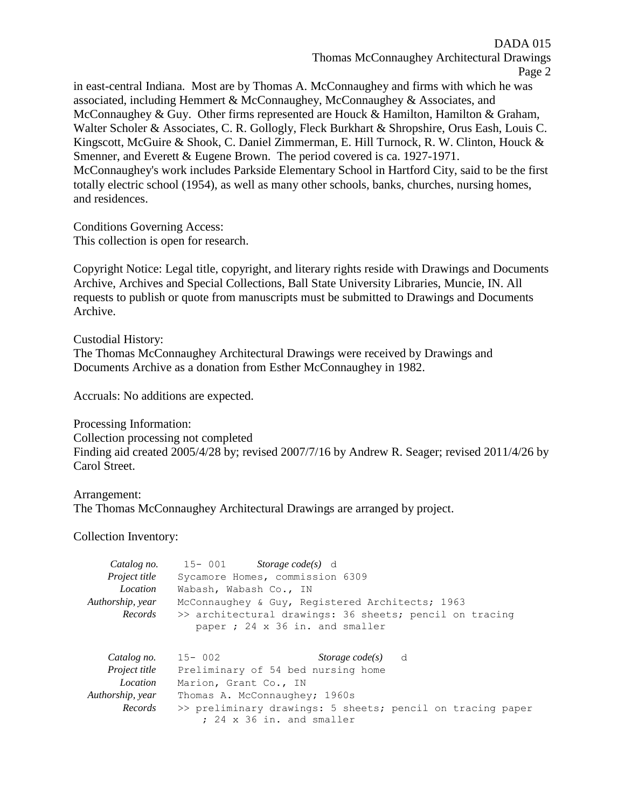DADA 015 Thomas McConnaughey Architectural Drawings Page 2

in east-central Indiana. Most are by Thomas A. McConnaughey and firms with which he was associated, including Hemmert & McConnaughey, McConnaughey & Associates, and McConnaughey & Guy. Other firms represented are Houck & Hamilton, Hamilton & Graham, Walter Scholer & Associates, C. R. Gollogly, Fleck Burkhart & Shropshire, Orus Eash, Louis C. Kingscott, McGuire & Shook, C. Daniel Zimmerman, E. Hill Turnock, R. W. Clinton, Houck & Smenner, and Everett & Eugene Brown. The period covered is ca. 1927-1971. McConnaughey's work includes Parkside Elementary School in Hartford City, said to be the first totally electric school (1954), as well as many other schools, banks, churches, nursing homes, and residences.

Conditions Governing Access: This collection is open for research.

Copyright Notice: Legal title, copyright, and literary rights reside with Drawings and Documents Archive, Archives and Special Collections, Ball State University Libraries, Muncie, IN. All requests to publish or quote from manuscripts must be submitted to Drawings and Documents Archive.

Custodial History: The Thomas McConnaughey Architectural Drawings were received by Drawings and Documents Archive as a donation from Esther McConnaughey in 1982.

Accruals: No additions are expected.

Processing Information: Collection processing not completed Finding aid created 2005/4/28 by; revised 2007/7/16 by Andrew R. Seager; revised 2011/4/26 by Carol Street.

Arrangement: The Thomas McConnaughey Architectural Drawings are arranged by project.

Collection Inventory:

| Catalog no.          | 15-001 Storage code(s) d                                                                   |
|----------------------|--------------------------------------------------------------------------------------------|
| <i>Project title</i> | Sycamore Homes, commission 6309                                                            |
| Location             | Wabash, Wabash Co., IN                                                                     |
| Authorship, year     | McConnaughey & Guy, Registered Architects; 1963                                            |
| Records              | >> architectural drawings: 36 sheets; pencil on tracing<br>paper ; 24 x 36 in. and smaller |
| Catalog no.          | 15-002<br><i>Storage code(s)</i> d                                                         |
| <i>Project title</i> | Preliminary of 54 bed nursing home                                                         |
| Location             | Marion, Grant Co., IN                                                                      |
| Authorship, year     | Thomas A. McConnaughey; 1960s                                                              |
| Records              | >> preliminary drawings: 5 sheets; pencil on tracing paper<br>; 24 x 36 in. and smaller    |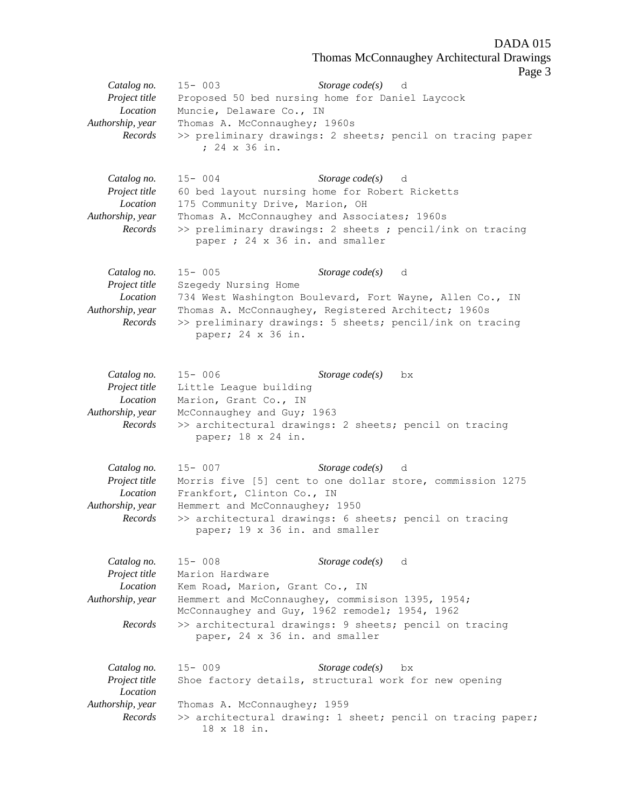Thomas McConnaughey Architectural Drawings

Page 3

|                                                                         | Page                                                                                                                                                                                                                                                                                         |
|-------------------------------------------------------------------------|----------------------------------------------------------------------------------------------------------------------------------------------------------------------------------------------------------------------------------------------------------------------------------------------|
| Catalog no.<br>Project title<br>Location<br>Authorship, year<br>Records | Storage $code(s)$<br>$15 - 003$<br>d<br>Proposed 50 bed nursing home for Daniel Laycock<br>Muncie, Delaware Co., IN<br>Thomas A. McConnaughey; 1960s<br>>> preliminary drawings: 2 sheets; pencil on tracing paper<br>; 24 x 36 in.                                                          |
| Catalog no.<br>Project title<br>Location<br>Authorship, year<br>Records | Storage $code(s)$<br>$15 - 004$<br>d<br>60 bed layout nursing home for Robert Ricketts<br>175 Community Drive, Marion, OH<br>Thomas A. McConnaughey and Associates; 1960s<br>>> preliminary drawings: 2 sheets ; pencil/ink on tracing<br>paper ; 24 x 36 in. and smaller                    |
| Catalog no.<br>Project title<br>Location<br>Authorship, year<br>Records | Storage $code(s)$<br>$15 - 005$<br>d<br>Szegedy Nursing Home<br>734 West Washington Boulevard, Fort Wayne, Allen Co., IN<br>Thomas A. McConnaughey, Registered Architect; 1960s<br>>> preliminary drawings: 5 sheets; pencil/ink on tracing<br>paper; 24 x 36 in.                            |
| Catalog no.<br>Project title<br>Location<br>Authorship, year<br>Records | Storage $code(s)$<br>$15 - 006$<br>bx<br>Little League building<br>Marion, Grant Co., IN<br>McConnaughey and Guy; 1963<br>>> architectural drawings: 2 sheets; pencil on tracing<br>paper; 18 x 24 in.                                                                                       |
| Catalog no.<br>Project title<br>Location<br>Authorship, year<br>Records | Storage $code(s)$ d<br>$15 - 007$<br>Morris five [5] cent to one dollar store, commission 1275<br>Frankfort, Clinton Co., IN<br>Hemmert and McConnaughey; 1950<br>>> architectural drawings: 6 sheets; pencil on tracing<br>paper; 19 x 36 in. and smaller                                   |
| Catalog no.<br>Project title<br>Location<br>Authorship, year<br>Records | $15 - 008$<br>Storage $code(s)$<br>d<br>Marion Hardware<br>Kem Road, Marion, Grant Co., IN<br>Hemmert and McConnaughey, commisison 1395, 1954;<br>McConnaughey and Guy, 1962 remodel; 1954, 1962<br>>> architectural drawings: 9 sheets; pencil on tracing<br>paper, 24 x 36 in. and smaller |
| Catalog no.<br>Project title<br>Location<br>Authorship, year<br>Records | Storage $code(s)$<br>$15 - 009$<br>bx<br>Shoe factory details, structural work for new opening<br>Thomas A. McConnaughey; 1959<br>>> architectural drawing: 1 sheet; pencil on tracing paper;<br>18 x 18 in.                                                                                 |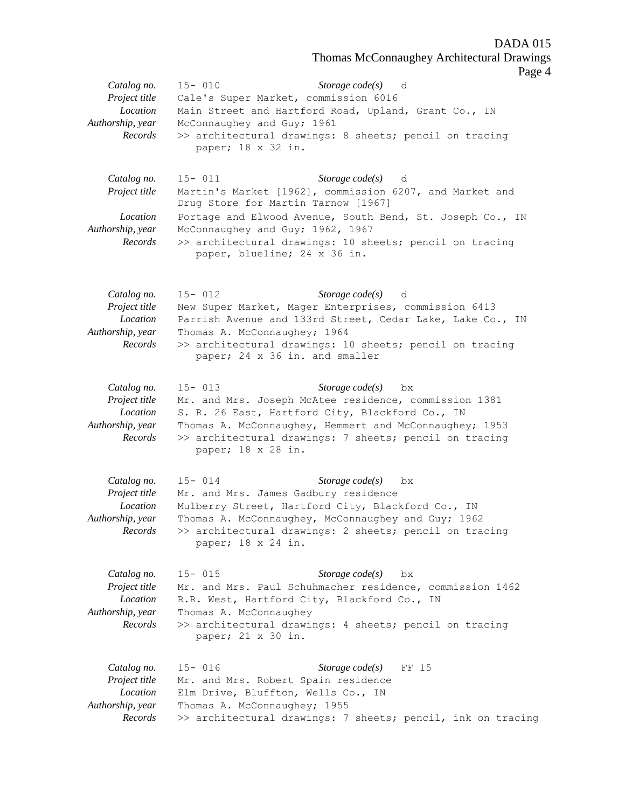Thomas McConnaughey Architectural Drawings

Page 4

|                                                                         | $\frac{1}{2}$                                                                                                                                                                                                                                                                               |
|-------------------------------------------------------------------------|---------------------------------------------------------------------------------------------------------------------------------------------------------------------------------------------------------------------------------------------------------------------------------------------|
| Catalog no.<br>Project title<br>Location<br>Authorship, year<br>Records | $15 - 010$<br>Storage $code(s)$ d<br>Cale's Super Market, commission 6016<br>Main Street and Hartford Road, Upland, Grant Co., IN<br>McConnaughey and Guy; 1961<br>>> architectural drawings: 8 sheets; pencil on tracing<br>paper; 18 x 32 in.                                             |
| Catalog no.<br>Project title                                            | Storage $code(s)$ d<br>$15 - 011$<br>Martin's Market [1962], commission 6207, and Market and<br>Drug Store for Martin Tarnow [1967]                                                                                                                                                         |
| Location<br>Authorship, year<br>Records                                 | Portage and Elwood Avenue, South Bend, St. Joseph Co., IN<br>McConnaughey and Guy; 1962, 1967<br>>> architectural drawings: 10 sheets; pencil on tracing<br>paper, blueline; 24 x 36 in.                                                                                                    |
| Catalog no.<br>Project title<br>Location<br>Authorship, year<br>Records | Storage $code(s)$ d<br>$15 - 012$<br>New Super Market, Mager Enterprises, commission 6413<br>Parrish Avenue and 133rd Street, Cedar Lake, Lake Co., IN<br>Thomas A. McConnaughey; 1964<br>>> architectural drawings: 10 sheets; pencil on tracing<br>paper; 24 x 36 in. and smaller         |
| Catalog no.<br>Project title<br>Location<br>Authorship, year<br>Records | $15 - 013$<br>Storage $code(s)$<br>bx<br>Mr. and Mrs. Joseph McAtee residence, commission 1381<br>S. R. 26 East, Hartford City, Blackford Co., IN<br>Thomas A. McConnaughey, Hemmert and McConnaughey; 1953<br>>> architectural drawings: 7 sheets; pencil on tracing<br>paper; 18 x 28 in. |
| Catalog no.<br>Project title<br>Location<br>Authorship, year<br>Records | Storage $code(s)$<br>$15 - 014$<br>bx<br>Mr. and Mrs. James Gadbury residence<br>Mulberry Street, Hartford City, Blackford Co., IN<br>Thomas A. McConnaughey, McConnaughey and Guy; 1962<br>>> architectural drawings: 2 sheets; pencil on tracing<br>paper; 18 x 24 in.                    |
| Catalog no.<br>Project title<br>Location<br>Authorship, year<br>Records | Storage $code(s)$<br>$15 - 015$<br>bx<br>Mr. and Mrs. Paul Schuhmacher residence, commission 1462<br>R.R. West, Hartford City, Blackford Co., IN<br>Thomas A. McConnaughey<br>>> architectural drawings: 4 sheets; pencil on tracing<br>paper; 21 x 30 in.                                  |
| Catalog no.<br>Project title<br>Location<br>Authorship, year<br>Records | $15 - 016$<br>Storage $code(s)$<br>FF 15<br>Mr. and Mrs. Robert Spain residence<br>Elm Drive, Bluffton, Wells Co., IN<br>Thomas A. McConnaughey; 1955<br>>> architectural drawings: 7 sheets; pencil, ink on tracing                                                                        |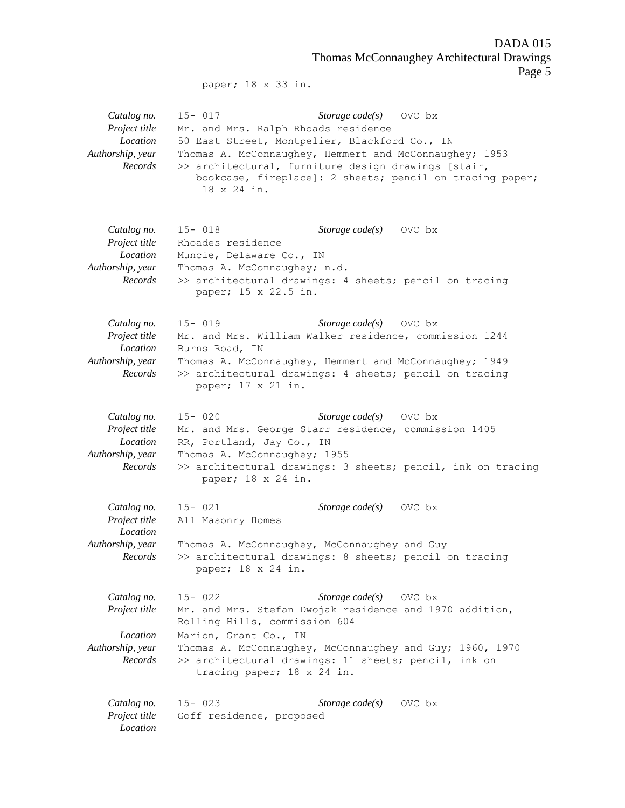DADA 015 Thomas McConnaughey Architectural Drawings Page 5

paper; 18 x 33 in.

*Catalog no.* 15- 017 *Storage code(s)* OVC bx *Project title* Mr. and Mrs. Ralph Rhoads residence *Location* 50 East Street, Montpelier, Blackford Co., IN *Authorship, year* Thomas A. McConnaughey, Hemmert and McConnaughey; 1953 *Records* >> architectural, furniture design drawings [stair, bookcase, fireplace]: 2 sheets; pencil on tracing paper; 18 x 24 in. *Catalog no.* 15- 018 *Storage code(s)* OVC bx *Project title* Rhoades residence *Location* Muncie, Delaware Co., IN *Authorship, year* Thomas A. McConnaughey; n.d. *Records* >> architectural drawings: 4 sheets; pencil on tracing paper; 15 x 22.5 in. *Catalog no.* 15- 019 *Storage code(s)* OVC bx *Project title* Mr. and Mrs. William Walker residence, commission 1244 *Location* Burns Road, IN *Authorship, year* Thomas A. McConnaughey, Hemmert and McConnaughey; 1949 *Records* >> architectural drawings: 4 sheets; pencil on tracing paper; 17 x 21 in. *Catalog no.* 15- 020 *Storage code(s)* OVC bx *Project title* Mr. and Mrs. George Starr residence, commission 1405 *Location* RR, Portland, Jay Co., IN *Authorship, year* Thomas A. McConnaughey; 1955 *Records* >> architectural drawings: 3 sheets; pencil, ink on tracing paper; 18 x 24 in. *Catalog no.* 15- 021 *Storage code(s)* OVC bx *Project title* All Masonry Homes *Location Authorship, year* Thomas A. McConnaughey, McConnaughey and Guy *Records* >> architectural drawings: 8 sheets; pencil on tracing paper; 18 x 24 in. *Catalog no.* 15- 022 *Storage code(s)* OVC bx *Project title* Mr. and Mrs. Stefan Dwojak residence and 1970 addition, Rolling Hills, commission 604 *Location* Marion, Grant Co., IN *Authorship, year* Thomas A. McConnaughey, McConnaughey and Guy; 1960, 1970 *Records* >> architectural drawings: 11 sheets; pencil, ink on tracing paper; 18 x 24 in. *Catalog no.* 15- 023 *Storage code(s)* OVC bx *Project title* Goff residence, proposed *Location*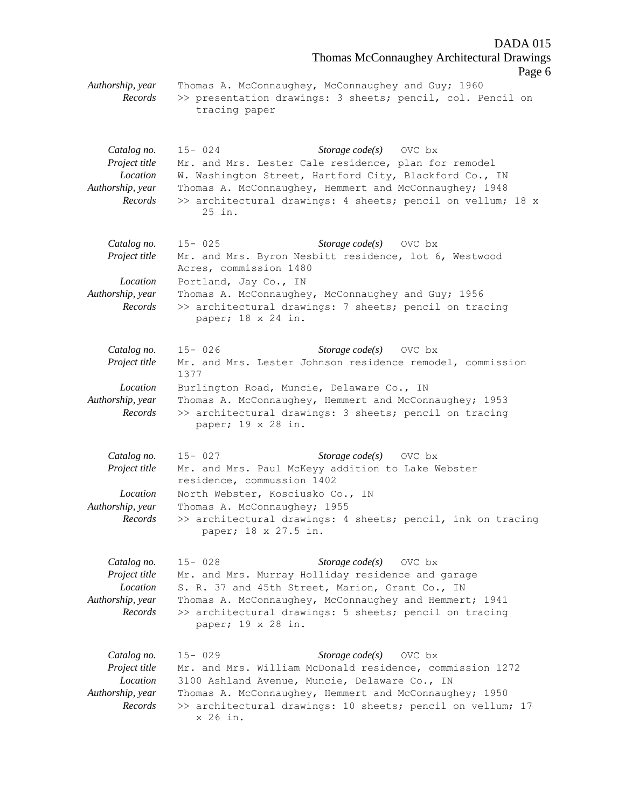Thomas McConnaughey Architectural Drawings Page 6 *Authorship, year* Thomas A. McConnaughey, McConnaughey and Guy; 1960 *Records* >> presentation drawings: 3 sheets; pencil, col. Pencil on tracing paper *Catalog no.* 15- 024 *Storage code(s)* OVC bx *Project title* Mr. and Mrs. Lester Cale residence, plan for remodel *Location* W. Washington Street, Hartford City, Blackford Co., IN *Authorship, year* Thomas A. McConnaughey, Hemmert and McConnaughey; 1948 *Records* >> architectural drawings: 4 sheets; pencil on vellum; 18 x 25 in. *Catalog no.* 15- 025 *Storage code(s)* OVC bx *Project title* Mr. and Mrs. Byron Nesbitt residence, lot 6, Westwood Acres, commission 1480 *Location* Portland, Jay Co., IN *Authorship, year* Thomas A. McConnaughey, McConnaughey and Guy; 1956 *Records* >> architectural drawings: 7 sheets; pencil on tracing paper; 18 x 24 in. *Catalog no.* 15- 026 *Storage code(s)* OVC bx *Project title* Mr. and Mrs. Lester Johnson residence remodel, commission 1377 *Location* Burlington Road, Muncie, Delaware Co., IN *Authorship, year* Thomas A. McConnaughey, Hemmert and McConnaughey; 1953 *Records* >> architectural drawings: 3 sheets; pencil on tracing paper; 19 x 28 in. *Catalog no.* 15- 027 *Storage code(s)* OVC bx *Project title* Mr. and Mrs. Paul McKeyy addition to Lake Webster residence, commussion 1402 *Location* North Webster, Kosciusko Co., IN *Authorship, year* Thomas A. McConnaughey; 1955 *Records* >> architectural drawings: 4 sheets; pencil, ink on tracing paper; 18 x 27.5 in. *Catalog no.* 15- 028 *Storage code(s)* OVC bx *Project title* Mr. and Mrs. Murray Holliday residence and garage *Location* S. R. 37 and 45th Street, Marion, Grant Co., IN *Authorship, year* Thomas A. McConnaughey, McConnaughey and Hemmert; 1941 *Records* >> architectural drawings: 5 sheets; pencil on tracing paper; 19 x 28 in. *Catalog no.* 15- 029 *Storage code(s)* OVC bx *Project title* Mr. and Mrs. William McDonald residence, commission 1272 *Location* 3100 Ashland Avenue, Muncie, Delaware Co., IN *Authorship, year* Thomas A. McConnaughey, Hemmert and McConnaughey; 1950 *Records* >> architectural drawings: 10 sheets; pencil on vellum; 17 x 26 in.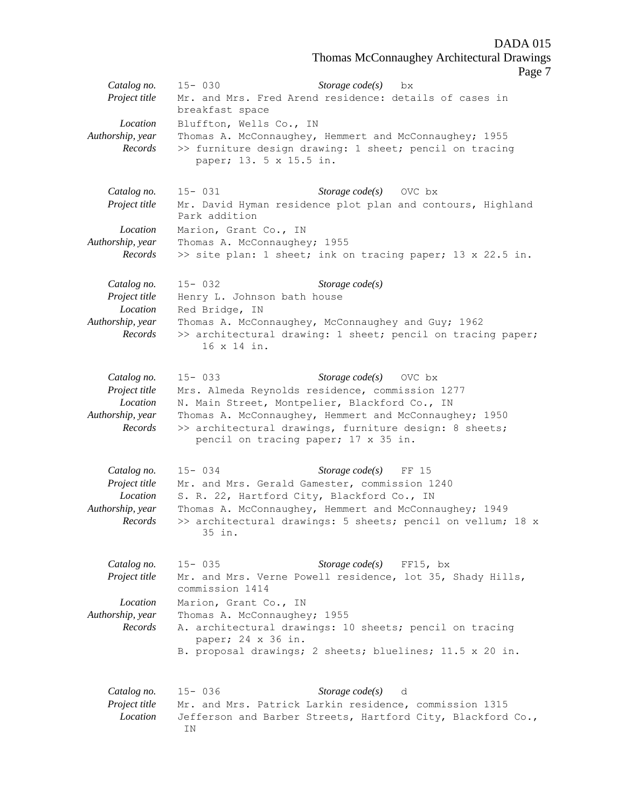Thomas McConnaughey Architectural Drawings

Page 7

|                              |                                                    | Page                                                                                                                  |
|------------------------------|----------------------------------------------------|-----------------------------------------------------------------------------------------------------------------------|
| Catalog no.                  | $15 - 030$                                         | Storage $code(s)$<br>bx                                                                                               |
| Project title                |                                                    | Mr. and Mrs. Fred Arend residence: details of cases in                                                                |
|                              | breakfast space                                    |                                                                                                                       |
| Location                     | Bluffton, Wells Co., IN                            |                                                                                                                       |
| Authorship, year<br>Records  |                                                    | Thomas A. McConnaughey, Hemmert and McConnaughey; 1955                                                                |
|                              | paper; 13. 5 x 15.5 in.                            | >> furniture design drawing: 1 sheet; pencil on tracing                                                               |
|                              |                                                    |                                                                                                                       |
|                              |                                                    |                                                                                                                       |
| Catalog no.                  | $15 - 031$                                         | Storage $code(s)$ OVC bx                                                                                              |
| Project title                | Park addition                                      | Mr. David Hyman residence plot plan and contours, Highland                                                            |
| Location                     | Marion, Grant Co., IN                              |                                                                                                                       |
| Authorship, year             | Thomas A. McConnaughey; 1955                       |                                                                                                                       |
| Records                      |                                                    | >> site plan: 1 sheet; ink on tracing paper; 13 x 22.5 in.                                                            |
|                              |                                                    |                                                                                                                       |
| Catalog no.                  | $15 - 032$                                         | Storage $code(s)$                                                                                                     |
| Project title                | Henry L. Johnson bath house                        |                                                                                                                       |
| Location                     | Red Bridge, IN                                     |                                                                                                                       |
| Authorship, year             | Thomas A. McConnaughey, McConnaughey and Guy; 1962 |                                                                                                                       |
| Records                      |                                                    | >> architectural drawing: 1 sheet; pencil on tracing paper;                                                           |
|                              | 16 x 14 in.                                        |                                                                                                                       |
|                              |                                                    |                                                                                                                       |
| Catalog no.                  | $15 - 033$                                         | Storage $code(s)$<br>OVC bx                                                                                           |
| Project title                | Mrs. Almeda Reynolds residence, commission 1277    |                                                                                                                       |
| Location                     | N. Main Street, Montpelier, Blackford Co., IN      |                                                                                                                       |
| Authorship, year             |                                                    | Thomas A. McConnaughey, Hemmert and McConnaughey; 1950                                                                |
| Records                      |                                                    | >> architectural drawings, furniture design: 8 sheets;                                                                |
|                              | pencil on tracing paper; 17 x 35 in.               |                                                                                                                       |
|                              |                                                    |                                                                                                                       |
| Catalog no.                  | $15 - 034$                                         | Storage $code(s)$<br>FF 15                                                                                            |
| Project title                | Mr. and Mrs. Gerald Gamester, commission 1240      |                                                                                                                       |
| <i>Location</i>              | S. R. 22, Hartford City, Blackford Co., IN         |                                                                                                                       |
| Authorship, year<br>Records  |                                                    | Thomas A. McConnaughey, Hemmert and McConnaughey; 1949<br>>> architectural drawings: 5 sheets; pencil on vellum; 18 x |
|                              | 35 in.                                             |                                                                                                                       |
|                              |                                                    |                                                                                                                       |
|                              |                                                    |                                                                                                                       |
| Catalog no.<br>Project title | $15 - 035$                                         | Storage code(s) $FF15$ , bx<br>Mr. and Mrs. Verne Powell residence, lot 35, Shady Hills,                              |
|                              | commission 1414                                    |                                                                                                                       |
| Location                     | Marion, Grant Co., IN                              |                                                                                                                       |
| Authorship, year             | Thomas A. McConnaughey; 1955                       |                                                                                                                       |
| Records                      |                                                    | A. architectural drawings: 10 sheets; pencil on tracing                                                               |
|                              | paper; 24 x 36 in.                                 |                                                                                                                       |
|                              |                                                    | B. proposal drawings; 2 sheets; bluelines; 11.5 x 20 in.                                                              |
|                              |                                                    |                                                                                                                       |
| Catalog no.                  | $15 - 036$                                         | Storage $code(s)$ d                                                                                                   |
| Project title                |                                                    | Mr. and Mrs. Patrick Larkin residence, commission 1315                                                                |
| Location                     |                                                    | Jefferson and Barber Streets, Hartford City, Blackford Co.,                                                           |
|                              | ΙN                                                 |                                                                                                                       |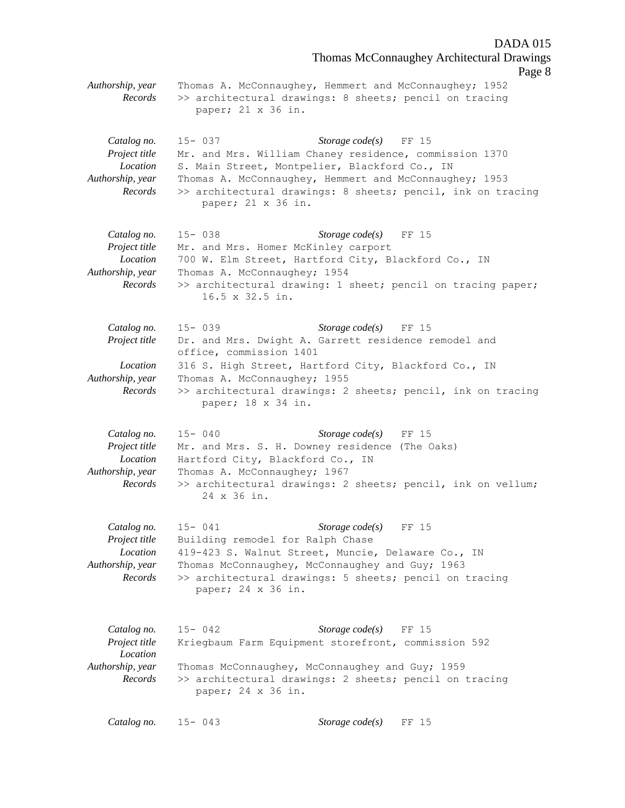Thomas McConnaughey Architectural Drawings Page 8 *Authorship, year* Thomas A. McConnaughey, Hemmert and McConnaughey; 1952 *Records* >> architectural drawings: 8 sheets; pencil on tracing paper; 21 x 36 in. *Catalog no.* 15- 037 *Storage code(s)* FF 15 *Project title* Mr. and Mrs. William Chaney residence, commission 1370 *Location* S. Main Street, Montpelier, Blackford Co., IN *Authorship, year* Thomas A. McConnaughey, Hemmert and McConnaughey; 1953 *Records* >> architectural drawings: 8 sheets; pencil, ink on tracing paper; 21 x 36 in. *Catalog no.* 15- 038 *Storage code(s)* FF 15 Project title Mr. and Mrs. Homer McKinley carport *Location* 700 W. Elm Street, Hartford City, Blackford Co., IN *Authorship, year* Thomas A. McConnaughey; 1954 *Records* >> architectural drawing: 1 sheet; pencil on tracing paper; 16.5 x 32.5 in. *Catalog no.* 15- 039 *Storage code(s)* FF 15 *Project title* Dr. and Mrs. Dwight A. Garrett residence remodel and office, commission 1401 *Location* 316 S. High Street, Hartford City, Blackford Co., IN *Authorship, year* Thomas A. McConnaughey; 1955 *Records* >> architectural drawings: 2 sheets; pencil, ink on tracing paper; 18 x 34 in. *Catalog no.* 15- 040 *Storage code(s)* FF 15 *Project title* Mr. and Mrs. S. H. Downey residence (The Oaks) *Location* Hartford City, Blackford Co., IN *Authorship, year* Thomas A. McConnaughey; 1967 *Records* >> architectural drawings: 2 sheets; pencil, ink on vellum; 24 x 36 in. *Catalog no.* 15- 041 *Storage code(s)* FF 15 *Project title* Building remodel for Ralph Chase *Location* 419-423 S. Walnut Street, Muncie, Delaware Co., IN *Authorship, year* Thomas McConnaughey, McConnaughey and Guy; 1963 *Records* >> architectural drawings: 5 sheets; pencil on tracing paper; 24 x 36 in. *Catalog no.* 15- 042 *Storage code(s)* FF 15 *Project title* Kriegbaum Farm Equipment storefront, commission 592 *Location Authorship, year* Thomas McConnaughey, McConnaughey and Guy; 1959 *Records* >> architectural drawings: 2 sheets; pencil on tracing paper; 24 x 36 in. *Catalog no.* 15- 043 *Storage code(s)* FF 15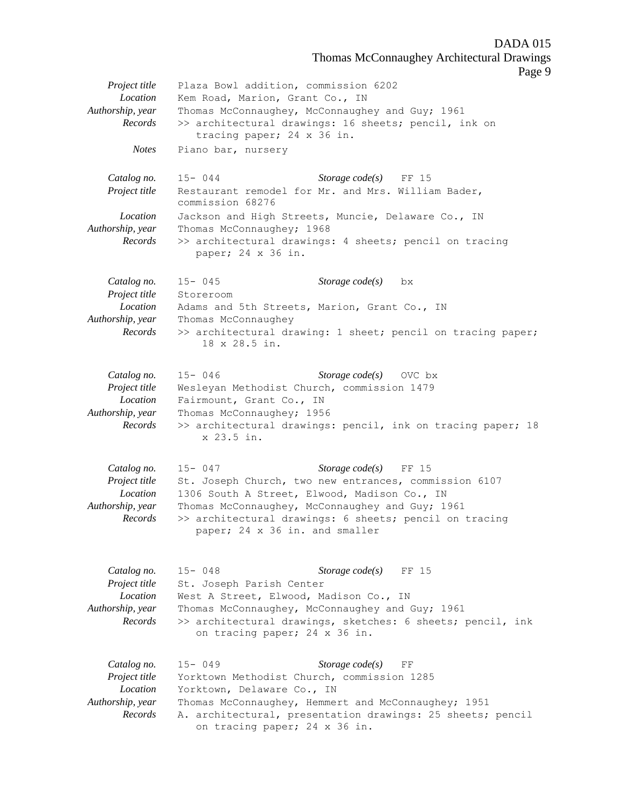Thomas McConnaughey Architectural Drawings

Page 9

*Project title* Plaza Bowl addition, commission 6202 *Location* Kem Road, Marion, Grant Co., IN *Authorship, year* Thomas McConnaughey, McConnaughey and Guy; 1961 *Records* >> architectural drawings: 16 sheets; pencil, ink on tracing paper; 24 x 36 in. *Notes* Piano bar, nursery *Catalog no.* 15- 044 *Storage code(s)* FF 15 *Project title* Restaurant remodel for Mr. and Mrs. William Bader, commission 68276 *Location* Jackson and High Streets, Muncie, Delaware Co., IN *Authorship, year* Thomas McConnaughey; 1968 *Records* >> architectural drawings: 4 sheets; pencil on tracing paper; 24 x 36 in. *Catalog no.* 15- 045 *Storage code(s)* bx *Project title* Storeroom *Location* Adams and 5th Streets, Marion, Grant Co., IN *Authorship, year* Thomas McConnaughey *Records* >> architectural drawing: 1 sheet; pencil on tracing paper; 18 x 28.5 in. *Catalog no.* 15- 046 *Storage code(s)* OVC bx *Project title* Wesleyan Methodist Church, commission 1479 *Location* Fairmount, Grant Co., IN *Authorship, year* Thomas McConnaughey; 1956 *Records* >> architectural drawings: pencil, ink on tracing paper; 18 x 23.5 in. *Catalog no.* 15- 047 *Storage code(s)* FF 15 *Project title* St. Joseph Church, two new entrances, commission 6107 *Location* 1306 South A Street, Elwood, Madison Co., IN *Authorship, year* Thomas McConnaughey, McConnaughey and Guy; 1961 *Records* >> architectural drawings: 6 sheets; pencil on tracing paper; 24 x 36 in. and smaller *Catalog no.* 15- 048 *Storage code(s)* FF 15 *Project title* St. Joseph Parish Center *Location* West A Street, Elwood, Madison Co., IN *Authorship, year* Thomas McConnaughey, McConnaughey and Guy; 1961 *Records* >> architectural drawings, sketches: 6 sheets; pencil, ink on tracing paper; 24 x 36 in. *Catalog no.* 15- 049 *Storage code(s)* FF *Project title* Yorktown Methodist Church, commission 1285 *Location* Yorktown, Delaware Co., IN *Authorship, year* Thomas McConnaughey, Hemmert and McConnaughey; 1951 *Records* A. architectural, presentation drawings: 25 sheets; pencil on tracing paper; 24 x 36 in.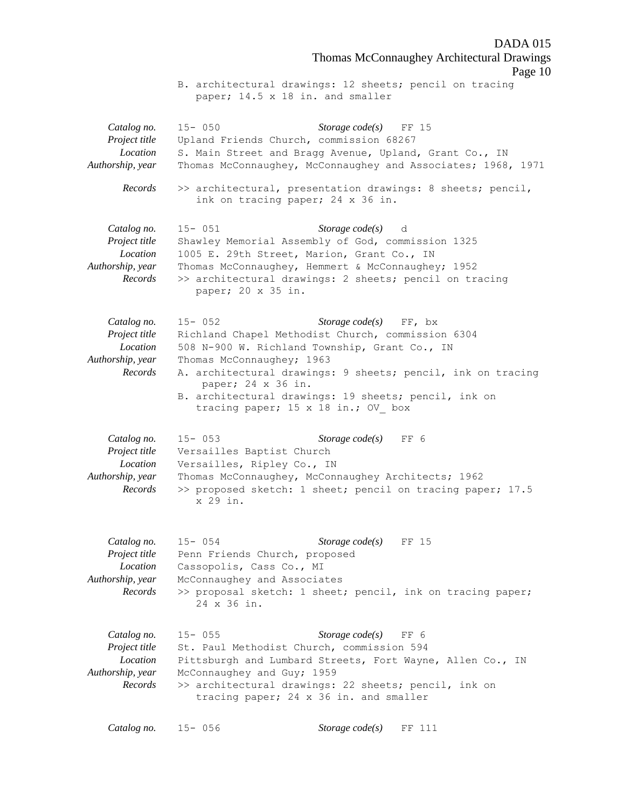DADA 015 Thomas McConnaughey Architectural Drawings Page 10 B. architectural drawings: 12 sheets; pencil on tracing paper; 14.5 x 18 in. and smaller *Catalog no.* 15- 050 *Storage code(s)* FF 15 *Project title* Upland Friends Church, commission 68267 *Location* S. Main Street and Bragg Avenue, Upland, Grant Co., IN *Authorship, year* Thomas McConnaughey, McConnaughey and Associates; 1968, 1971 *Records* >> architectural, presentation drawings: 8 sheets; pencil, ink on tracing paper; 24 x 36 in. *Catalog no.* 15- 051 *Storage code(s)* d *Project title* Shawley Memorial Assembly of God, commission 1325 *Location* 1005 E. 29th Street, Marion, Grant Co., IN *Authorship, year* Thomas McConnaughey, Hemmert & McConnaughey; 1952 *Records* >> architectural drawings: 2 sheets; pencil on tracing paper; 20 x 35 in. *Catalog no.* 15- 052 *Storage code(s)* FF, bx *Project title* Richland Chapel Methodist Church, commission 6304 *Location* 508 N-900 W. Richland Township, Grant Co., IN *Authorship, year* Thomas McConnaughey; 1963 *Records* A. architectural drawings: 9 sheets; pencil, ink on tracing paper; 24 x 36 in. B. architectural drawings: 19 sheets; pencil, ink on tracing paper; 15 x 18 in.; OV\_ box *Catalog no.* 15- 053 *Storage code(s)* FF 6 *Project title* Versailles Baptist Church *Location* Versailles, Ripley Co., IN *Authorship, year* Thomas McConnaughey, McConnaughey Architects; 1962 *Records* >> proposed sketch: 1 sheet; pencil on tracing paper; 17.5 x 29 in. *Catalog no.* 15- 054 *Storage code(s)* FF 15 *Project title* Penn Friends Church, proposed *Location* Cassopolis, Cass Co., MI *Authorship, year* McConnaughey and Associates *Records* >> proposal sketch: 1 sheet; pencil, ink on tracing paper; 24 x 36 in. *Catalog no.* 15- 055 *Storage code(s)* FF 6 *Project title* St. Paul Methodist Church, commission 594 *Location* Pittsburgh and Lumbard Streets, Fort Wayne, Allen Co., IN *Authorship, year* McConnaughey and Guy; 1959 *Records* >> architectural drawings: 22 sheets; pencil, ink on tracing paper; 24 x 36 in. and smaller *Catalog no.* 15- 056 *Storage code(s)* FF 111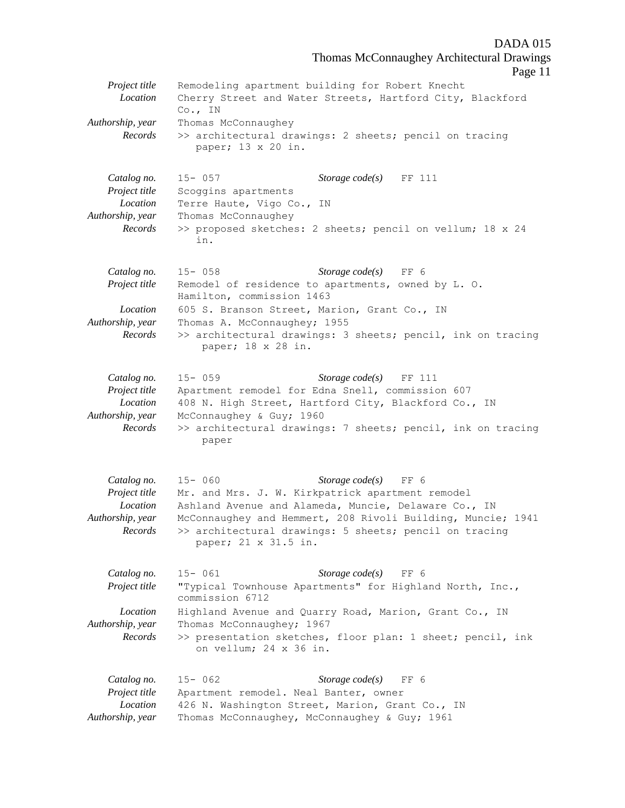Thomas McConnaughey Architectural Drawings Page 11 *Project title* Remodeling apartment building for Robert Knecht *Location* Cherry Street and Water Streets, Hartford City, Blackford Co., IN *Authorship, year* Thomas McConnaughey *Records* >> architectural drawings: 2 sheets; pencil on tracing paper; 13 x 20 in. *Catalog no.* 15- 057 *Storage code(s)* FF 111 *Project title* Scoggins apartments *Location* Terre Haute, Vigo Co., IN *Authorship, year* Thomas McConnaughey *Records* >> proposed sketches: 2 sheets; pencil on vellum; 18 x 24 in. *Catalog no.* 15- 058 *Storage code(s)* FF 6 *Project title* Remodel of residence to apartments, owned by L. O. Hamilton, commission 1463 *Location* 605 S. Branson Street, Marion, Grant Co., IN *Authorship, year* Thomas A. McConnaughey; 1955 *Records* >> architectural drawings: 3 sheets; pencil, ink on tracing paper; 18 x 28 in. *Catalog no.* 15- 059 *Storage code(s)* FF 111 *Project title* Apartment remodel for Edna Snell, commission 607 *Location* 408 N. High Street, Hartford City, Blackford Co., IN *Authorship, year* McConnaughey & Guy; 1960 *Records* >> architectural drawings: 7 sheets; pencil, ink on tracing paper *Catalog no.* 15- 060 *Storage code(s)* FF 6 *Project title* Mr. and Mrs. J. W. Kirkpatrick apartment remodel *Location* Ashland Avenue and Alameda, Muncie, Delaware Co., IN *Authorship, year* McConnaughey and Hemmert, 208 Rivoli Building, Muncie; 1941 *Records* >> architectural drawings: 5 sheets; pencil on tracing paper; 21 x 31.5 in. *Catalog no.* 15- 061 *Storage code(s)* FF 6 *Project title* "Typical Townhouse Apartments" for Highland North, Inc., commission 6712 *Location* Highland Avenue and Quarry Road, Marion, Grant Co., IN *Authorship, year* Thomas McConnaughey; 1967 *Records* >> presentation sketches, floor plan: 1 sheet; pencil, ink on vellum; 24 x 36 in. *Catalog no.* 15- 062 *Storage code(s)* FF 6 *Project title* Apartment remodel. Neal Banter, owner *Location* 426 N. Washington Street, Marion, Grant Co., IN *Authorship, year* Thomas McConnaughey, McConnaughey & Guy; 1961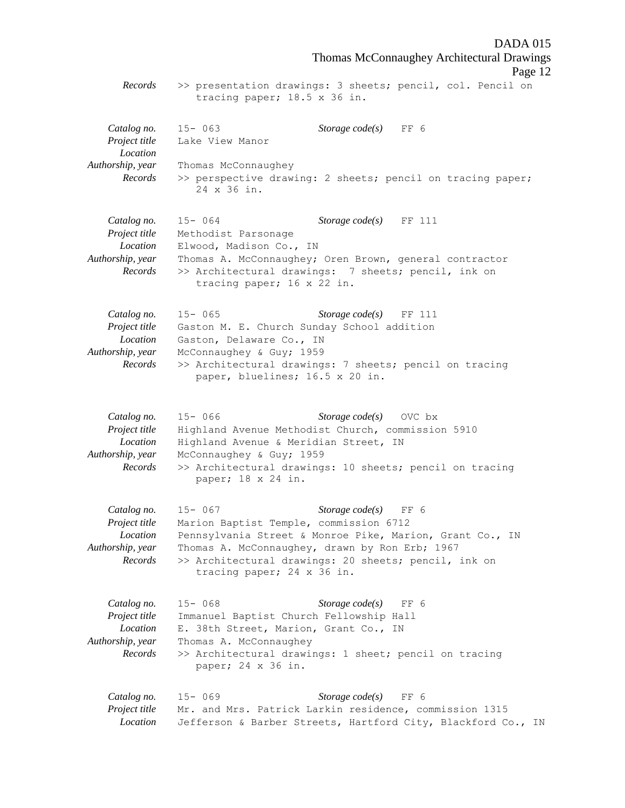DADA 015 Thomas McConnaughey Architectural Drawings Page 12 *Records* >> presentation drawings: 3 sheets; pencil, col. Pencil on tracing paper; 18.5 x 36 in. *Catalog no.* 15- 063 *Storage code(s)* FF 6 *Project title* Lake View Manor *Location Authorship, year* Thomas McConnaughey *Records* >> perspective drawing: 2 sheets; pencil on tracing paper; 24 x 36 in. *Catalog no.* 15- 064 *Storage code(s)* FF 111 *Project title* Methodist Parsonage *Location* Elwood, Madison Co., IN *Authorship, year* Thomas A. McConnaughey; Oren Brown, general contractor *Records* >> Architectural drawings: 7 sheets; pencil, ink on tracing paper; 16 x 22 in. *Catalog no.* 15- 065 *Storage code(s)* FF 111 *Project title* Gaston M. E. Church Sunday School addition *Location* Gaston, Delaware Co., IN *Authorship, year* McConnaughey & Guy; 1959 *Records* >> Architectural drawings: 7 sheets; pencil on tracing paper, bluelines; 16.5 x 20 in. *Catalog no.* 15- 066 *Storage code(s)* OVC bx *Project title* Highland Avenue Methodist Church, commission 5910 *Location* Highland Avenue & Meridian Street, IN *Authorship, year* McConnaughey & Guy; 1959 *Records* >> Architectural drawings: 10 sheets; pencil on tracing paper; 18 x 24 in. *Catalog no.* 15- 067 *Storage code(s)* FF 6 *Project title* Marion Baptist Temple, commission 6712 *Location* Pennsylvania Street & Monroe Pike, Marion, Grant Co., IN *Authorship, year* Thomas A. McConnaughey, drawn by Ron Erb; 1967 *Records* >> Architectural drawings: 20 sheets; pencil, ink on tracing paper; 24 x 36 in. *Catalog no.* 15- 068 *Storage code(s)* FF 6 *Project title* Immanuel Baptist Church Fellowship Hall *Location* E. 38th Street, Marion, Grant Co., IN *Authorship, year* Thomas A. McConnaughey *Records* >> Architectural drawings: 1 sheet; pencil on tracing paper; 24 x 36 in. *Catalog no.* 15- 069 *Storage code(s)* FF 6 *Project title* Mr. and Mrs. Patrick Larkin residence, commission 1315 *Location* Jefferson & Barber Streets, Hartford City, Blackford Co., IN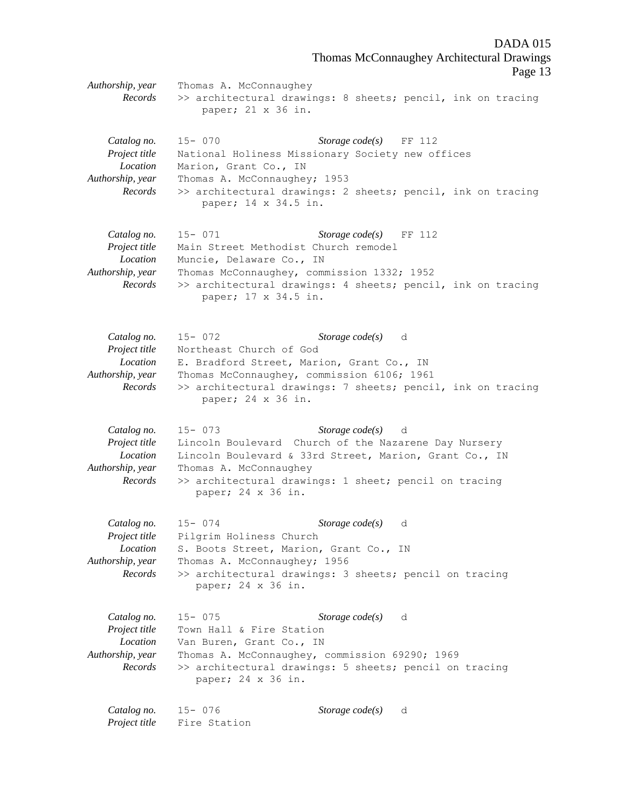DADA 015 Thomas McConnaughey Architectural Drawings Page 13 *Authorship, year* Thomas A. McConnaughey *Records* >> architectural drawings: 8 sheets; pencil, ink on tracing paper; 21 x 36 in. *Catalog no.* 15- 070 *Storage code(s)* FF 112 *Project title* National Holiness Missionary Society new offices *Location* Marion, Grant Co., IN *Authorship, year* Thomas A. McConnaughey; 1953 *Records* >> architectural drawings: 2 sheets; pencil, ink on tracing paper; 14 x 34.5 in. *Catalog no.* 15- 071 *Storage code(s)* FF 112 *Project title* Main Street Methodist Church remodel *Location* Muncie, Delaware Co., IN *Authorship, year* Thomas McConnaughey, commission 1332; 1952 *Records* >> architectural drawings: 4 sheets; pencil, ink on tracing paper; 17 x 34.5 in. *Catalog no.* 15- 072 *Storage code(s)* d *Project title* Northeast Church of God *Location* E. Bradford Street, Marion, Grant Co., IN *Authorship, year* Thomas McConnaughey, commission 6106; 1961 *Records* >> architectural drawings: 7 sheets; pencil, ink on tracing paper; 24 x 36 in. *Catalog no.* 15- 073 *Storage code(s)* d *Project title* Lincoln Boulevard Church of the Nazarene Day Nursery *Location* Lincoln Boulevard & 33rd Street, Marion, Grant Co., IN *Authorship, year* Thomas A. McConnaughey *Records* >> architectural drawings: 1 sheet; pencil on tracing paper; 24 x 36 in.

*Catalog no.* 15- 074 *Storage code(s)* d *Project title* Pilgrim Holiness Church *Location* S. Boots Street, Marion, Grant Co., IN *Authorship, year* Thomas A. McConnaughey; 1956 *Records* >> architectural drawings: 3 sheets; pencil on tracing paper; 24 x 36 in.

*Catalog no.* 15- 075 *Storage code(s)* d *Project title* Town Hall & Fire Station *Location* Van Buren, Grant Co., IN *Authorship, year* Thomas A. McConnaughey, commission 69290; 1969 *Records* >> architectural drawings: 5 sheets; pencil on tracing paper; 24 x 36 in.

*Catalog no.* 15- 076 *Storage code(s)* d *Project title* Fire Station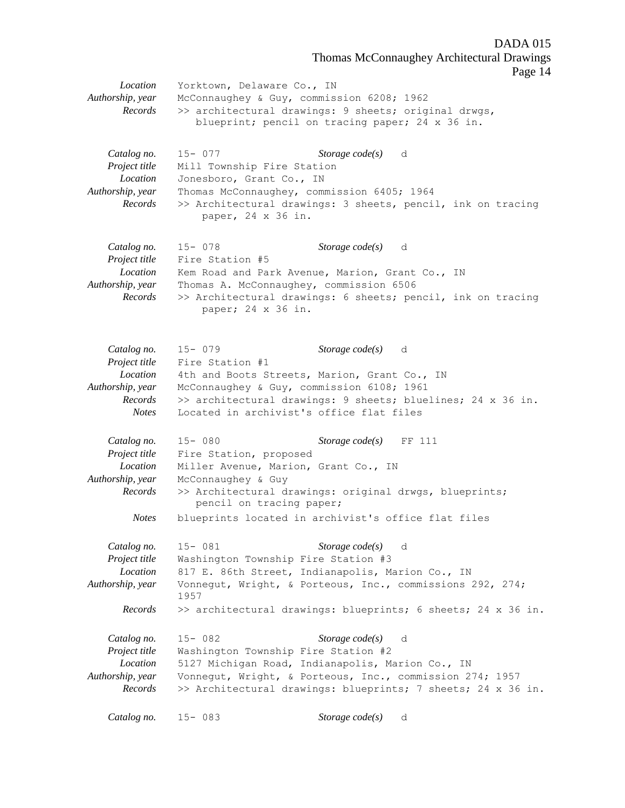Thomas McConnaughey Architectural Drawings

Page 14

*Location* Yorktown, Delaware Co., IN *Authorship, year* McConnaughey & Guy, commission 6208; 1962 *Records* >> architectural drawings: 9 sheets; original drwgs, blueprint; pencil on tracing paper; 24 x 36 in. *Catalog no.* 15- 077 *Storage code(s)* d *Project title* Mill Township Fire Station *Location* Jonesboro, Grant Co., IN *Authorship, year* Thomas McConnaughey, commission 6405; 1964 *Records* >> Architectural drawings: 3 sheets, pencil, ink on tracing paper, 24 x 36 in. *Catalog no.* 15- 078 *Storage code(s)* d *Project title* Fire Station #5 *Location* Kem Road and Park Avenue, Marion, Grant Co., IN *Authorship, year* Thomas A. McConnaughey, commission 6506 *Records* >> Architectural drawings: 6 sheets; pencil, ink on tracing paper; 24 x 36 in. *Catalog no.* 15- 079 *Storage code(s)* d *Project title* Fire Station #1 *Location* 4th and Boots Streets, Marion, Grant Co., IN *Authorship, year* McConnaughey & Guy, commission 6108; 1961 *Records* >> architectural drawings: 9 sheets; bluelines; 24 x 36 in. *Notes* Located in archivist's office flat files *Catalog no.* 15- 080 *Storage code(s)* FF 111 *Project title* Fire Station, proposed *Location* Miller Avenue, Marion, Grant Co., IN *Authorship, year* McConnaughey & Guy *Records* >> Architectural drawings: original drwgs, blueprints; pencil on tracing paper; *Notes* blueprints located in archivist's office flat files *Catalog no.* 15- 081 *Storage code(s)* d *Project title* Washington Township Fire Station #3 *Location* 817 E. 86th Street, Indianapolis, Marion Co., IN *Authorship, year* Vonnegut, Wright, & Porteous, Inc., commissions 292, 274; 1957 *Records* >> architectural drawings: blueprints; 6 sheets; 24 x 36 in. *Catalog no.* 15- 082 *Storage code(s)* d *Project title* Washington Township Fire Station #2 *Location* 5127 Michigan Road, Indianapolis, Marion Co., IN *Authorship, year* Vonnegut, Wright, & Porteous, Inc., commission 274; 1957 *Records* >> Architectural drawings: blueprints; 7 sheets; 24 x 36 in. *Catalog no.* 15- 083 *Storage code(s)* d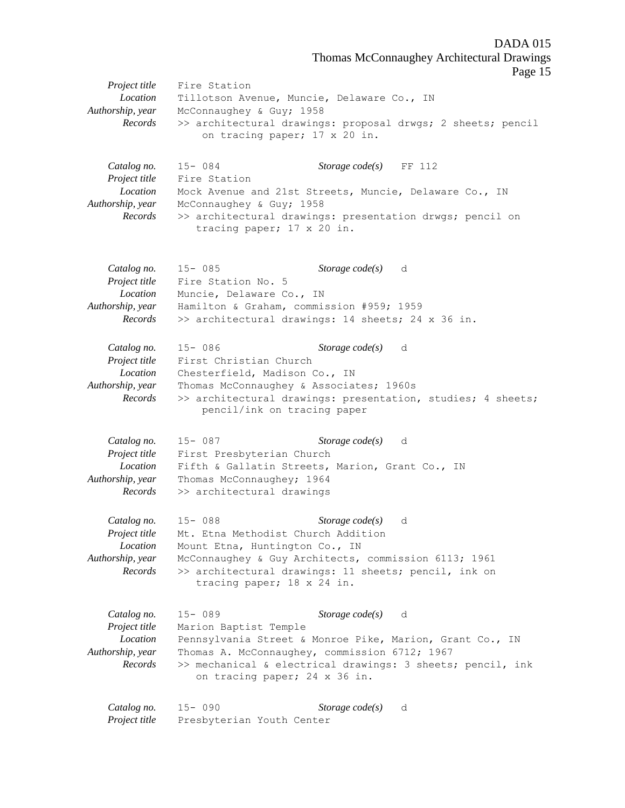DADA 015 Thomas McConnaughey Architectural Drawings

Page 15

*Project title* Fire Station *Location* Tillotson Avenue, Muncie, Delaware Co., IN *Authorship, year* McConnaughey & Guy; 1958 *Records* >> architectural drawings: proposal drwgs; 2 sheets; pencil on tracing paper; 17 x 20 in. *Catalog no.* 15- 084 *Storage code(s)* FF 112 *Project title* Fire Station *Location* Mock Avenue and 21st Streets, Muncie, Delaware Co., IN *Authorship, year* McConnaughey & Guy; 1958 *Records* >> architectural drawings: presentation drwgs; pencil on tracing paper; 17 x 20 in. *Catalog no.* 15- 085 *Storage code(s)* d *Project title* Fire Station No. 5 *Location* Muncie, Delaware Co., IN *Authorship, year* Hamilton & Graham, commission #959; 1959 *Records* >> architectural drawings: 14 sheets; 24 x 36 in. *Catalog no.* 15- 086 *Storage code(s)* d *Project title* First Christian Church *Location* Chesterfield, Madison Co., IN *Authorship, year* Thomas McConnaughey & Associates; 1960s *Records* >> architectural drawings: presentation, studies; 4 sheets; pencil/ink on tracing paper *Catalog no.* 15- 087 *Storage code(s)* d *Project title* First Presbyterian Church *Location* Fifth & Gallatin Streets, Marion, Grant Co., IN *Authorship, year* Thomas McConnaughey; 1964 *Records* >> architectural drawings *Catalog no.* 15- 088 *Storage code(s)* d *Project title* Mt. Etna Methodist Church Addition *Location* Mount Etna, Huntington Co., IN *Authorship, year* McConnaughey & Guy Architects, commission 6113; 1961 *Records* >> architectural drawings: 11 sheets; pencil, ink on tracing paper; 18 x 24 in. *Catalog no.* 15- 089 *Storage code(s)* d *Project title* Marion Baptist Temple *Location* Pennsylvania Street & Monroe Pike, Marion, Grant Co., IN *Authorship, year* Thomas A. McConnaughey, commission 6712; 1967 *Records* >> mechanical & electrical drawings: 3 sheets; pencil, ink on tracing paper; 24 x 36 in. *Catalog no.* 15- 090 *Storage code(s)* d *Project title* Presbyterian Youth Center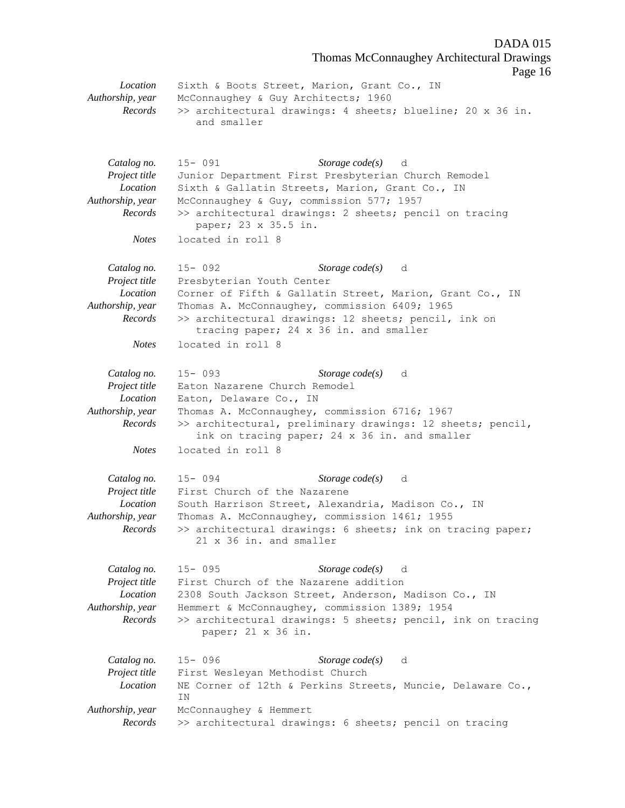DADA 015 Thomas McConnaughey Architectural Drawings Page 16 *Location* Sixth & Boots Street, Marion, Grant Co., IN *Authorship, year* McConnaughey & Guy Architects; 1960 *Records* >> architectural drawings: 4 sheets; blueline; 20 x 36 in. and smaller *Catalog no.* 15- 091 *Storage code(s)* d

*Project title* Junior Department First Presbyterian Church Remodel *Location* Sixth & Gallatin Streets, Marion, Grant Co., IN *Authorship, year* McConnaughey & Guy, commission 577; 1957 *Records* >> architectural drawings: 2 sheets; pencil on tracing paper; 23 x 35.5 in. *Notes* located in roll 8

*Catalog no.* 15- 092 *Storage code(s)* d *Project title* Presbyterian Youth Center *Location* Corner of Fifth & Gallatin Street, Marion, Grant Co., IN *Authorship, year* Thomas A. McConnaughey, commission 6409; 1965 *Records* >> architectural drawings: 12 sheets; pencil, ink on tracing paper; 24 x 36 in. and smaller *Notes* located in roll 8

*Catalog no.* 15- 093 *Storage code(s)* d *Project title* Eaton Nazarene Church Remodel *Location* Eaton, Delaware Co., IN *Authorship, year* Thomas A. McConnaughey, commission 6716; 1967 *Records* >> architectural, preliminary drawings: 12 sheets; pencil, ink on tracing paper; 24 x 36 in. and smaller *Notes* located in roll 8

*Catalog no.* 15- 094 *Storage code(s)* d *Project title* First Church of the Nazarene *Location* South Harrison Street, Alexandria, Madison Co., IN *Authorship, year* Thomas A. McConnaughey, commission 1461; 1955 *Records* >> architectural drawings: 6 sheets; ink on tracing paper; 21 x 36 in. and smaller

*Catalog no.* 15- 095 *Storage code(s)* d *Project title* First Church of the Nazarene addition *Location* 2308 South Jackson Street, Anderson, Madison Co., IN *Authorship, year* Hemmert & McConnaughey, commission 1389; 1954 *Records* >> architectural drawings: 5 sheets; pencil, ink on tracing paper; 21 x 36 in.

*Catalog no.* 15- 096 *Storage code(s)* d *Project title* First Wesleyan Methodist Church *Location* NE Corner of 12th & Perkins Streets, Muncie, Delaware Co., IN *Authorship, year* McConnaughey & Hemmert *Records* >> architectural drawings: 6 sheets; pencil on tracing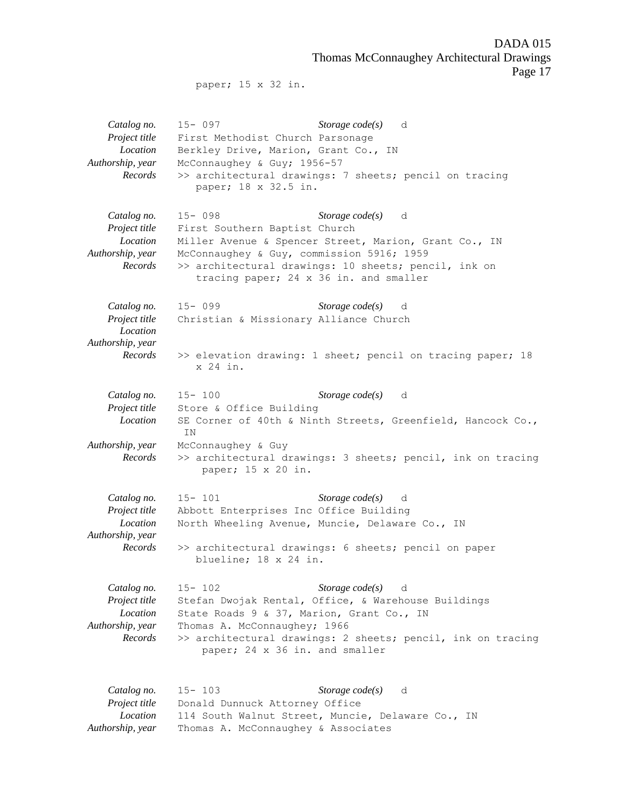DADA 015 Thomas McConnaughey Architectural Drawings Page 17

paper; 15 x 32 in.

*Catalog no.* 15- 097 *Storage code(s)* d *Project title* First Methodist Church Parsonage *Location* Berkley Drive, Marion, Grant Co., IN *Authorship, year* McConnaughey & Guy; 1956-57 *Records* >> architectural drawings: 7 sheets; pencil on tracing paper; 18 x 32.5 in. *Catalog no.* 15- 098 *Storage code(s)* d *Project title* First Southern Baptist Church *Location* Miller Avenue & Spencer Street, Marion, Grant Co., IN *Authorship, year* McConnaughey & Guy, commission 5916; 1959 *Records* >> architectural drawings: 10 sheets; pencil, ink on tracing paper; 24 x 36 in. and smaller *Catalog no.* 15- 099 *Storage code(s)* d *Project title* Christian & Missionary Alliance Church *Location Authorship, year Records* >> elevation drawing: 1 sheet; pencil on tracing paper; 18 x 24 in. *Catalog no.* 15- 100 *Storage code(s)* d *Project title* Store & Office Building *Location* SE Corner of 40th & Ninth Streets, Greenfield, Hancock Co., IN *Authorship, year* McConnaughey & Guy *Records* >> architectural drawings: 3 sheets; pencil, ink on tracing paper; 15 x 20 in. *Catalog no.* 15- 101 *Storage code(s)* d *Project title* Abbott Enterprises Inc Office Building *Location* North Wheeling Avenue, Muncie, Delaware Co., IN *Authorship, year Records* >> architectural drawings: 6 sheets; pencil on paper blueline; 18 x 24 in. *Catalog no.* 15- 102 *Storage code(s)* d *Project title* Stefan Dwojak Rental, Office, & Warehouse Buildings *Location* State Roads 9 & 37, Marion, Grant Co., IN *Authorship, year* Thomas A. McConnaughey; 1966 *Records* >> architectural drawings: 2 sheets; pencil, ink on tracing paper; 24 x 36 in. and smaller *Catalog no.* 15- 103 *Storage code(s)* d *Project title* Donald Dunnuck Attorney Office *Location* 114 South Walnut Street, Muncie, Delaware Co., IN *Authorship, year* Thomas A. McConnaughey & Associates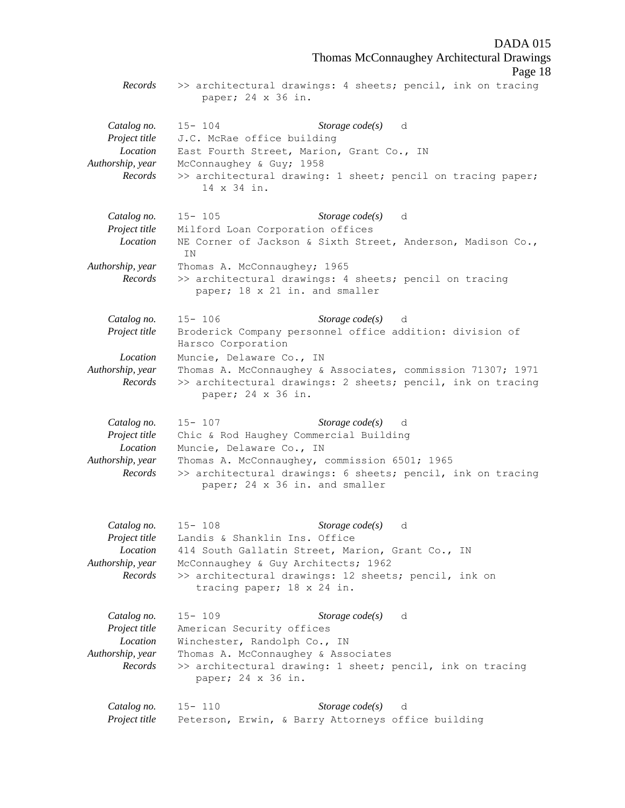DADA 015 Thomas McConnaughey Architectural Drawings Page 18 *Records* >> architectural drawings: 4 sheets; pencil, ink on tracing paper; 24 x 36 in. *Catalog no.* 15- 104 *Storage code(s)* d *Project title* J.C. McRae office building *Location* East Fourth Street, Marion, Grant Co., IN *Authorship, year* McConnaughey & Guy; 1958 *Records* >> architectural drawing: 1 sheet; pencil on tracing paper; 14 x 34 in. *Catalog no.* 15- 105 *Storage code(s)* d *Project title* Milford Loan Corporation offices *Location* NE Corner of Jackson & Sixth Street, Anderson, Madison Co., IN *Authorship, year* Thomas A. McConnaughey; 1965 *Records* >> architectural drawings: 4 sheets; pencil on tracing paper; 18 x 21 in. and smaller *Catalog no.* 15- 106 *Storage code(s)* d *Project title* Broderick Company personnel office addition: division of Harsco Corporation *Location* Muncie, Delaware Co., IN *Authorship, year* Thomas A. McConnaughey & Associates, commission 71307; 1971 *Records* >> architectural drawings: 2 sheets; pencil, ink on tracing paper; 24 x 36 in. *Catalog no.* 15- 107 *Storage code(s)* d *Project title* Chic & Rod Haughey Commercial Building *Location* Muncie, Delaware Co., IN *Authorship, year* Thomas A. McConnaughey, commission 6501; 1965 *Records* >> architectural drawings: 6 sheets; pencil, ink on tracing paper; 24 x 36 in. and smaller *Catalog no.* 15- 108 *Storage code(s)* d *Project title* Landis & Shanklin Ins. Office *Location* 414 South Gallatin Street, Marion, Grant Co., IN *Authorship, year* McConnaughey & Guy Architects; 1962 *Records* >> architectural drawings: 12 sheets; pencil, ink on tracing paper; 18 x 24 in. *Catalog no.* 15- 109 *Storage code(s)* d *Project title* American Security offices *Location* Winchester, Randolph Co., IN *Authorship, year* Thomas A. McConnaughey & Associates *Records* >> architectural drawing: 1 sheet; pencil, ink on tracing paper; 24 x 36 in. *Catalog no.* 15- 110 *Storage code(s)* d *Project title* Peterson, Erwin, & Barry Attorneys office building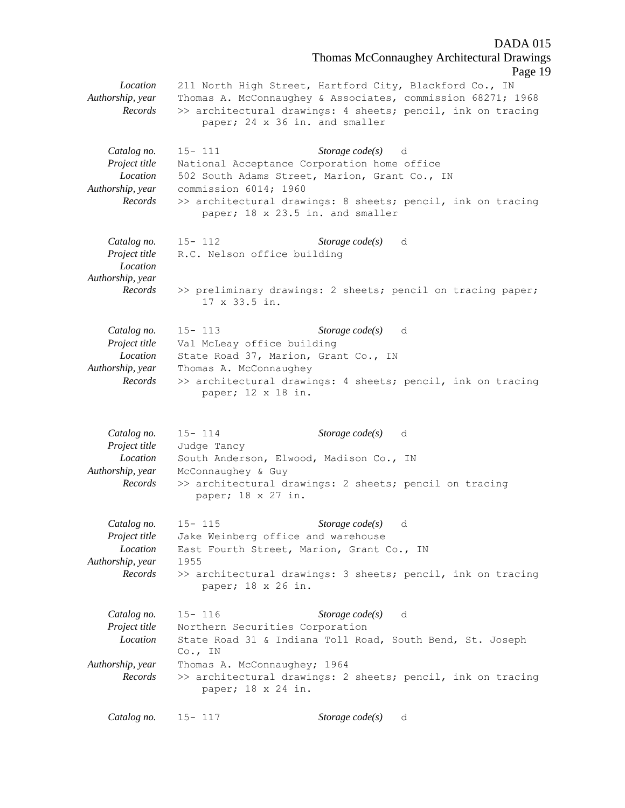Thomas McConnaughey Architectural Drawings Page 19 *Location* 211 North High Street, Hartford City, Blackford Co., IN *Authorship, year* Thomas A. McConnaughey & Associates, commission 68271; 1968 *Records* >> architectural drawings: 4 sheets; pencil, ink on tracing paper; 24 x 36 in. and smaller *Catalog no.* 15- 111 *Storage code(s)* d *Project title* National Acceptance Corporation home office *Location* 502 South Adams Street, Marion, Grant Co., IN *Authorship, year* commission 6014; 1960 *Records* >> architectural drawings: 8 sheets; pencil, ink on tracing paper; 18 x 23.5 in. and smaller *Catalog no.* 15- 112 *Storage code(s)* d *Project title* R.C. Nelson office building *Location Authorship, year Records* >> preliminary drawings: 2 sheets; pencil on tracing paper; 17 x 33.5 in. *Catalog no.* 15- 113 *Storage code(s)* d *Project title* Val McLeay office building *Location* State Road 37, Marion, Grant Co., IN *Authorship, year* Thomas A. McConnaughey *Records* >> architectural drawings: 4 sheets; pencil, ink on tracing paper; 12 x 18 in. *Catalog no.* 15- 114 *Storage code(s)* d *Project title* Judge Tancy *Location* South Anderson, Elwood, Madison Co., IN *Authorship, year* McConnaughey & Guy *Records* >> architectural drawings: 2 sheets; pencil on tracing paper; 18 x 27 in. *Catalog no.* 15- 115 *Storage code(s)* d *Project title* Jake Weinberg office and warehouse *Location* East Fourth Street, Marion, Grant Co., IN *Authorship, year* 1955 *Records* >> architectural drawings: 3 sheets; pencil, ink on tracing paper; 18 x 26 in. *Catalog no.* 15- 116 *Storage code(s)* d *Project title* Northern Securities Corporation *Location* State Road 31 & Indiana Toll Road, South Bend, St. Joseph Co., IN *Authorship, year* Thomas A. McConnaughey; 1964 *Records* >> architectural drawings: 2 sheets; pencil, ink on tracing paper; 18 x 24 in. *Catalog no.* 15- 117 *Storage code(s)* d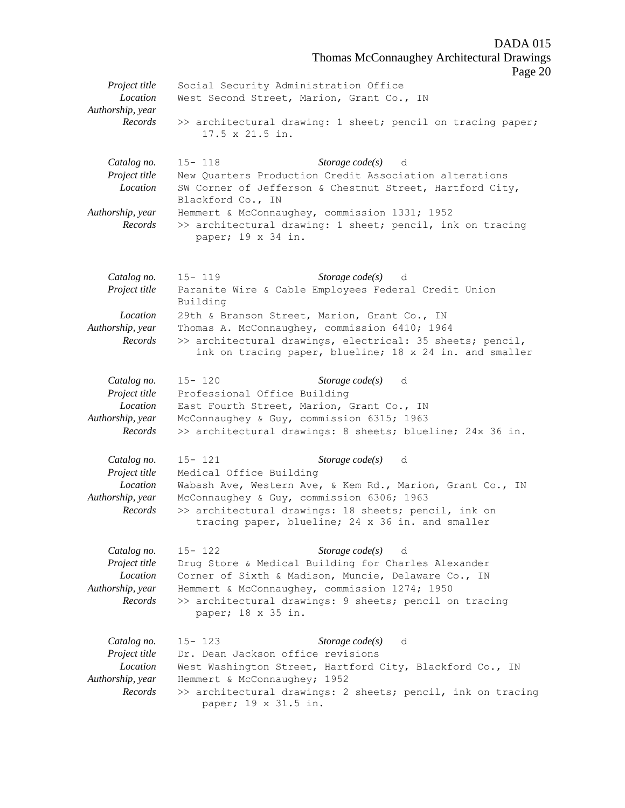Thomas McConnaughey Architectural Drawings Page 20 *Project title* Social Security Administration Office *Location* West Second Street, Marion, Grant Co., IN *Authorship, year Records* >> architectural drawing: 1 sheet; pencil on tracing paper; 17.5 x 21.5 in. *Catalog no.* 15- 118 *Storage code(s)* d *Project title* New Quarters Production Credit Association alterations *Location* SW Corner of Jefferson & Chestnut Street, Hartford City, Blackford Co., IN *Authorship, year* Hemmert & McConnaughey, commission 1331; 1952 *Records* >> architectural drawing: 1 sheet; pencil, ink on tracing paper; 19 x 34 in. *Catalog no.* 15- 119 *Storage code(s)* d *Project title* Paranite Wire & Cable Employees Federal Credit Union Building *Location* 29th & Branson Street, Marion, Grant Co., IN *Authorship, year* Thomas A. McConnaughey, commission 6410; 1964 *Records* >> architectural drawings, electrical: 35 sheets; pencil, ink on tracing paper, blueline; 18 x 24 in. and smaller *Catalog no.* 15- 120 *Storage code(s)* d *Project title* Professional Office Building *Location* East Fourth Street, Marion, Grant Co., IN *Authorship, year* McConnaughey & Guy, commission 6315; 1963 *Records* >> architectural drawings: 8 sheets; blueline; 24x 36 in. *Catalog no.* 15- 121 *Storage code(s)* d *Project title* Medical Office Building *Location* Wabash Ave, Western Ave, & Kem Rd., Marion, Grant Co., IN *Authorship, year* McConnaughey & Guy, commission 6306; 1963 *Records* >> architectural drawings: 18 sheets; pencil, ink on tracing paper, blueline; 24 x 36 in. and smaller *Catalog no.* 15- 122 *Storage code(s)* d *Project title* Drug Store & Medical Building for Charles Alexander *Location* Corner of Sixth & Madison, Muncie, Delaware Co., IN *Authorship, year* Hemmert & McConnaughey, commission 1274; 1950 *Records* >> architectural drawings: 9 sheets; pencil on tracing paper; 18 x 35 in. *Catalog no.* 15- 123 *Storage code(s)* d *Project title* Dr. Dean Jackson office revisions *Location* West Washington Street, Hartford City, Blackford Co., IN *Authorship, year* Hemmert & McConnaughey; 1952 *Records* >> architectural drawings: 2 sheets; pencil, ink on tracing paper; 19 x 31.5 in.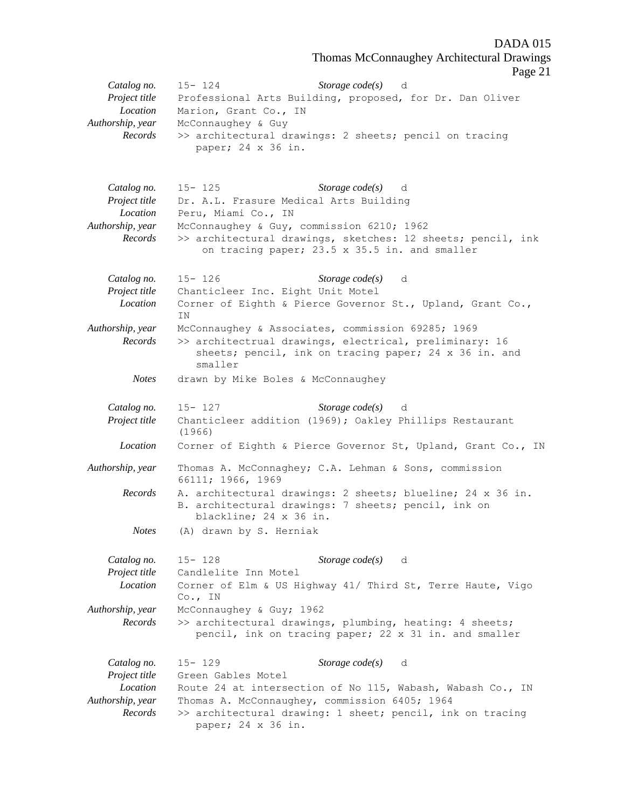Thomas McConnaughey Architectural Drawings

Page 21 *Catalog no.* 15- 124 *Storage code(s)* d *Project title* Professional Arts Building, proposed, for Dr. Dan Oliver *Location* Marion, Grant Co., IN *Authorship, year* McConnaughey & Guy *Records* >> architectural drawings: 2 sheets; pencil on tracing paper; 24 x 36 in. *Catalog no.* 15- 125 *Storage code(s)* d *Project title* Dr. A.L. Frasure Medical Arts Building *Location* Peru, Miami Co., IN *Authorship, year* McConnaughey & Guy, commission 6210; 1962 *Records* >> architectural drawings, sketches: 12 sheets; pencil, ink on tracing paper; 23.5 x 35.5 in. and smaller *Catalog no.* 15- 126 *Storage code(s)* d *Project title* Chanticleer Inc. Eight Unit Motel *Location* Corner of Eighth & Pierce Governor St., Upland, Grant Co., IN *Authorship, year* McConnaughey & Associates, commission 69285; 1969 *Records* >> architectrual drawings, electrical, preliminary: 16 sheets; pencil, ink on tracing paper; 24 x 36 in. and smaller *Notes* drawn by Mike Boles & McConnaughey *Catalog no.* 15- 127 *Storage code(s)* d *Project title* Chanticleer addition (1969); Oakley Phillips Restaurant (1966) *Location* Corner of Eighth & Pierce Governor St, Upland, Grant Co., IN *Authorship, year* Thomas A. McConnaghey; C.A. Lehman & Sons, commission 66111; 1966, 1969 *Records* A. architectural drawings: 2 sheets; blueline; 24 x 36 in. B. architectural drawings: 7 sheets; pencil, ink on blackline; 24 x 36 in. *Notes* (A) drawn by S. Herniak *Catalog no.* 15- 128 *Storage code(s)* d *Project title* Candlelite Inn Motel *Location* Corner of Elm & US Highway 41/ Third St, Terre Haute, Vigo Co., IN *Authorship, year* McConnaughey & Guy; 1962 *Records* >> architectural drawings, plumbing, heating: 4 sheets; pencil, ink on tracing paper; 22 x 31 in. and smaller *Catalog no.* 15- 129 *Storage code(s)* d *Project title* Green Gables Motel *Location* Route 24 at intersection of No 115, Wabash, Wabash Co., IN *Authorship, year* Thomas A. McConnaughey, commission 6405; 1964 *Records* >> architectural drawing: 1 sheet; pencil, ink on tracing paper; 24 x 36 in.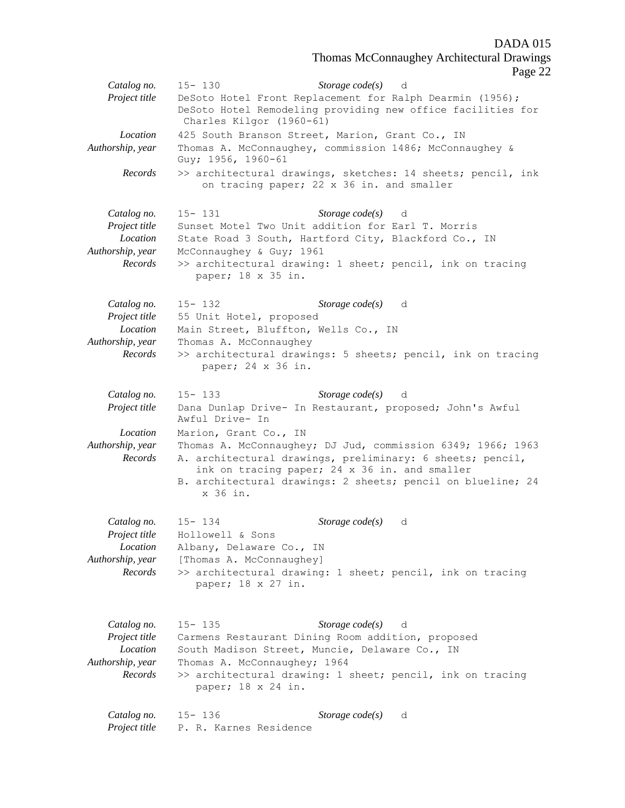Thomas McConnaughey Architectural Drawings

Page 22

|                                                                         | age z                                                                                                                                                                                                                                                                         |
|-------------------------------------------------------------------------|-------------------------------------------------------------------------------------------------------------------------------------------------------------------------------------------------------------------------------------------------------------------------------|
| Catalog no.<br>Project title                                            | Storage $code(s)$ d<br>$15 - 130$<br>DeSoto Hotel Front Replacement for Ralph Dearmin (1956);<br>DeSoto Hotel Remodeling providing new office facilities for                                                                                                                  |
| <i>Location</i><br>Authorship, year                                     | Charles Kilgor (1960-61)<br>425 South Branson Street, Marion, Grant Co., IN<br>Thomas A. McConnaughey, commission 1486; McConnaughey &                                                                                                                                        |
| Records                                                                 | Guy; 1956, 1960-61<br>>> architectural drawings, sketches: 14 sheets; pencil, ink<br>on tracing paper; 22 x 36 in. and smaller                                                                                                                                                |
| Catalog no.<br>Project title<br>Location<br>Authorship, year<br>Records | Storage code(s) d<br>$15 - 131$<br>Sunset Motel Two Unit addition for Earl T. Morris<br>State Road 3 South, Hartford City, Blackford Co., IN<br>McConnaughey & Guy; 1961<br>>> architectural drawing: 1 sheet; pencil, ink on tracing<br>paper; 18 x 35 in.                   |
| Catalog no.<br>Project title<br>Location<br>Authorship, year<br>Records | Storage code(s) d<br>$15 - 132$<br>55 Unit Hotel, proposed<br>Main Street, Bluffton, Wells Co., IN<br>Thomas A. McConnaughey<br>>> architectural drawings: 5 sheets; pencil, ink on tracing<br>paper; 24 x 36 in.                                                             |
| Catalog no.<br>Project title                                            | Storage $code(s)$ d<br>$15 - 133$<br>Dana Dunlap Drive- In Restaurant, proposed; John's Awful<br>Awful Drive- In                                                                                                                                                              |
| Location<br>Authorship, year<br>Records                                 | Marion, Grant Co., IN<br>Thomas A. McConnaughey; DJ Jud, commission 6349; 1966; 1963<br>A. architectural drawings, preliminary: 6 sheets; pencil,<br>ink on tracing paper; 24 x 36 in. and smaller<br>B. architectural drawings: 2 sheets; pencil on blueline; 24<br>x 36 in. |
| Catalog no.<br>Project title<br>Location<br>Authorship, year<br>Records | Storage $code(s)$<br>$15 - 134$<br>d<br>Hollowell & Sons<br>Albany, Delaware Co., IN<br>[Thomas A. McConnaughey]<br>>> architectural drawing: 1 sheet; pencil, ink on tracing<br>paper; 18 x 27 in.                                                                           |
| Catalog no.<br>Project title<br>Location<br>Authorship, year<br>Records | $15 - 135$<br>Storage $code(s)$ d<br>Carmens Restaurant Dining Room addition, proposed<br>South Madison Street, Muncie, Delaware Co., IN<br>Thomas A. McConnaughey; 1964<br>>> architectural drawing: 1 sheet; pencil, ink on tracing<br>paper; 18 x 24 in.                   |
| Catalog no.<br>Project title                                            | Storage $code(s)$<br>$15 - 136$<br>d<br>P. R. Karnes Residence                                                                                                                                                                                                                |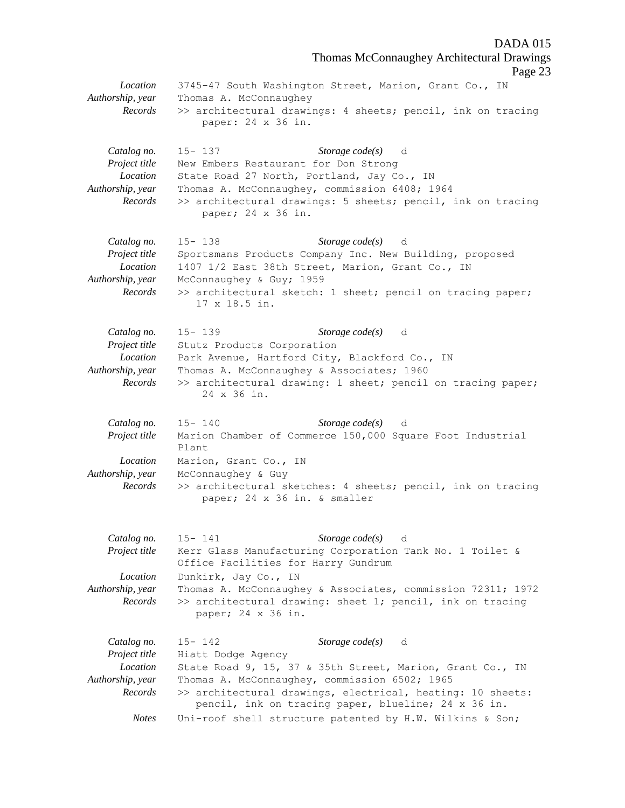Thomas McConnaughey Architectural Drawings Page 23 *Location* 3745-47 South Washington Street, Marion, Grant Co., IN *Authorship, year* Thomas A. McConnaughey *Records* >> architectural drawings: 4 sheets; pencil, ink on tracing paper: 24 x 36 in. *Catalog no.* 15- 137 *Storage code(s)* d *Project title* New Embers Restaurant for Don Strong *Location* State Road 27 North, Portland, Jay Co., IN *Authorship, year* Thomas A. McConnaughey, commission 6408; 1964 *Records* >> architectural drawings: 5 sheets; pencil, ink on tracing paper; 24 x 36 in. *Catalog no.* 15- 138 *Storage code(s)* d *Project title* Sportsmans Products Company Inc. New Building, proposed *Location* 1407 1/2 East 38th Street, Marion, Grant Co., IN *Authorship, year* McConnaughey & Guy; 1959 *Records* >> architectural sketch: 1 sheet; pencil on tracing paper; 17 x 18.5 in. *Catalog no.* 15- 139 *Storage code(s)* d *Project title* Stutz Products Corporation *Location* Park Avenue, Hartford City, Blackford Co., IN *Authorship, year* Thomas A. McConnaughey & Associates; 1960 *Records* >> architectural drawing: 1 sheet; pencil on tracing paper; 24 x 36 in. *Catalog no.* 15- 140 *Storage code(s)* d *Project title* Marion Chamber of Commerce 150,000 Square Foot Industrial Plant *Location* Marion, Grant Co., IN *Authorship, year* McConnaughey & Guy *Records* >> architectural sketches: 4 sheets; pencil, ink on tracing paper; 24 x 36 in. & smaller *Catalog no.* 15- 141 *Storage code(s)* d *Project title* Kerr Glass Manufacturing Corporation Tank No. 1 Toilet & Office Facilities for Harry Gundrum *Location* Dunkirk, Jay Co., IN *Authorship, year* Thomas A. McConnaughey & Associates, commission 72311; 1972 *Records* >> architectural drawing: sheet 1; pencil, ink on tracing paper; 24 x 36 in. *Catalog no.* 15- 142 *Storage code(s)* d *Project title* Hiatt Dodge Agency *Location* State Road 9, 15, 37 & 35th Street, Marion, Grant Co., IN *Authorship, year* Thomas A. McConnaughey, commission 6502; 1965 *Records* >> architectural drawings, electrical, heating: 10 sheets: pencil, ink on tracing paper, blueline; 24 x 36 in. *Notes* Uni-roof shell structure patented by H.W. Wilkins & Son;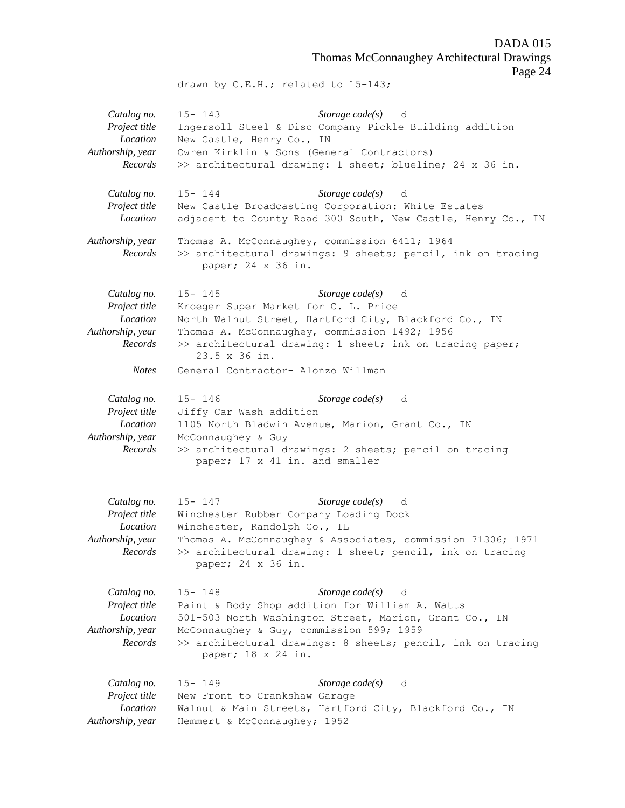DADA 015 Thomas McConnaughey Architectural Drawings Page 24

drawn by C.E.H.; related to 15-143;

*Catalog no.* 15- 143 *Storage code(s)* d *Project title* Ingersoll Steel & Disc Company Pickle Building addition *Location* New Castle, Henry Co., IN *Authorship, year* Owren Kirklin & Sons (General Contractors) *Records* >> architectural drawing: 1 sheet; blueline; 24 x 36 in. *Catalog no.* 15- 144 *Storage code(s)* d *Project title* New Castle Broadcasting Corporation: White Estates *Location* adjacent to County Road 300 South, New Castle, Henry Co., IN *Authorship, year* Thomas A. McConnaughey, commission 6411; 1964 *Records* >> architectural drawings: 9 sheets; pencil, ink on tracing paper; 24 x 36 in. *Catalog no.* 15- 145 *Storage code(s)* d *Project title* Kroeger Super Market for C. L. Price *Location* North Walnut Street, Hartford City, Blackford Co., IN *Authorship, year* Thomas A. McConnaughey, commission 1492; 1956 *Records* >> architectural drawing: 1 sheet; ink on tracing paper; 23.5 x 36 in. *Notes* General Contractor- Alonzo Willman *Catalog no.* 15- 146 *Storage code(s)* d *Project title* Jiffy Car Wash addition *Location* 1105 North Bladwin Avenue, Marion, Grant Co., IN *Authorship, year* McConnaughey & Guy *Records* >> architectural drawings: 2 sheets; pencil on tracing paper; 17 x 41 in. and smaller *Catalog no.* 15- 147 *Storage code(s)* d *Project title* Winchester Rubber Company Loading Dock *Location* Winchester, Randolph Co., IL *Authorship, year* Thomas A. McConnaughey & Associates, commission 71306; 1971 *Records* >> architectural drawing: 1 sheet; pencil, ink on tracing paper; 24 x 36 in. *Catalog no.* 15- 148 *Storage code(s)* d *Project title* Paint & Body Shop addition for William A. Watts *Location* 501-503 North Washington Street, Marion, Grant Co., IN *Authorship, year* McConnaughey & Guy, commission 599; 1959 *Records* >> architectural drawings: 8 sheets; pencil, ink on tracing paper; 18 x 24 in. *Catalog no.* 15- 149 *Storage code(s)* d *Project title* New Front to Crankshaw Garage *Location* Walnut & Main Streets, Hartford City, Blackford Co., IN *Authorship, year* Hemmert & McConnaughey; 1952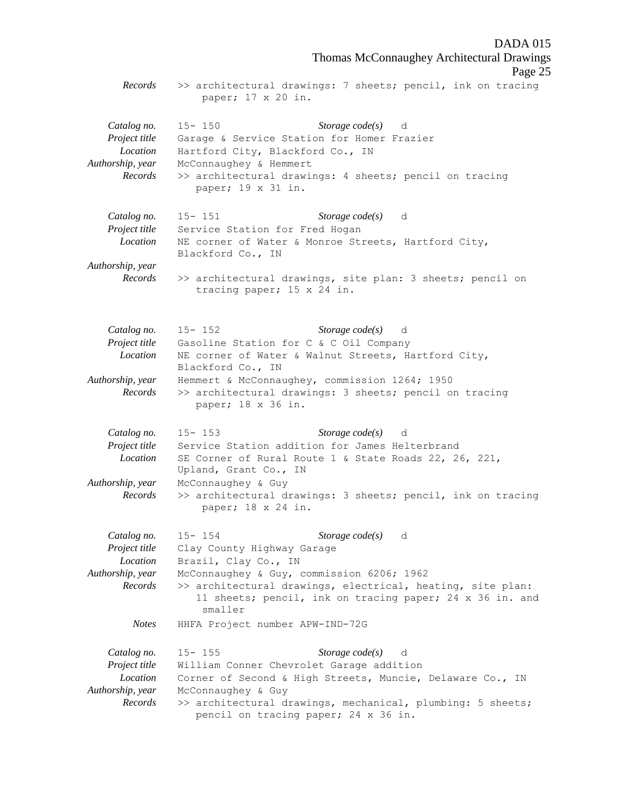DADA 015 Thomas McConnaughey Architectural Drawings Page 25 *Records* >> architectural drawings: 7 sheets; pencil, ink on tracing paper; 17 x 20 in. *Catalog no.* 15- 150 *Storage code(s)* d *Project title* Garage & Service Station for Homer Frazier *Location* Hartford City, Blackford Co., IN *Authorship, year* McConnaughey & Hemmert *Records* >> architectural drawings: 4 sheets; pencil on tracing paper; 19 x 31 in. *Catalog no.* 15- 151 *Storage code(s)* d *Project title* Service Station for Fred Hogan *Location* NE corner of Water & Monroe Streets, Hartford City, Blackford Co., IN *Authorship, year Records* >> architectural drawings, site plan: 3 sheets; pencil on tracing paper; 15 x 24 in. *Catalog no.* 15- 152 *Storage code(s)* d *Project title* Gasoline Station for C & C Oil Company *Location* NE corner of Water & Walnut Streets, Hartford City, Blackford Co., IN *Authorship, year* Hemmert & McConnaughey, commission 1264; 1950 *Records* >> architectural drawings: 3 sheets; pencil on tracing paper; 18 x 36 in. *Catalog no.* 15- 153 *Storage code(s)* d *Project title* Service Station addition for James Helterbrand *Location* SE Corner of Rural Route 1 & State Roads 22, 26, 221, Upland, Grant Co., IN *Authorship, year* McConnaughey & Guy *Records* >> architectural drawings: 3 sheets; pencil, ink on tracing paper; 18 x 24 in. *Catalog no.* 15- 154 *Storage code(s)* d *Project title* Clay County Highway Garage *Location* Brazil, Clay Co., IN *Authorship, year* McConnaughey & Guy, commission 6206; 1962 *Records* >> architectural drawings, electrical, heating, site plan: 11 sheets; pencil, ink on tracing paper; 24 x 36 in. and smaller *Notes* HHFA Project number APW-IND-72G *Catalog no.* 15- 155 *Storage code(s)* d *Project title* William Conner Chevrolet Garage addition *Location* Corner of Second & High Streets, Muncie, Delaware Co., IN *Authorship, year* McConnaughey & Guy *Records* >> architectural drawings, mechanical, plumbing: 5 sheets; pencil on tracing paper; 24 x 36 in.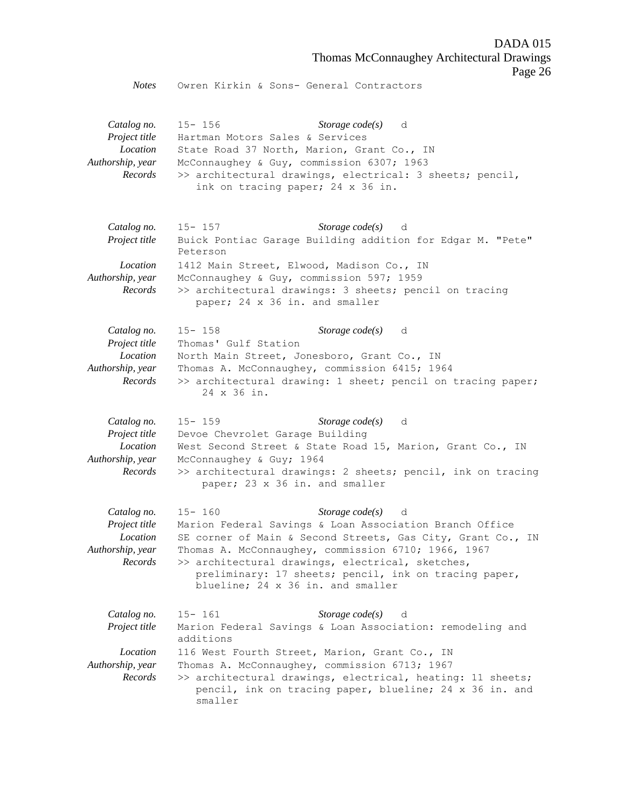Thomas McConnaughey Architectural Drawings

Page 26

*Notes* Owren Kirkin & Sons- General Contractors

*Catalog no.* 15- 156 *Storage code(s)* d *Project title* Hartman Motors Sales & Services *Location* State Road 37 North, Marion, Grant Co., IN *Authorship, year* McConnaughey & Guy, commission 6307; 1963 *Records* >> architectural drawings, electrical: 3 sheets; pencil, ink on tracing paper; 24 x 36 in.

- *Catalog no.* 15- 157 *Storage code(s)* d *Project title* Buick Pontiac Garage Building addition for Edgar M. "Pete" Peterson *Location* 1412 Main Street, Elwood, Madison Co., IN *Authorship, year* McConnaughey & Guy, commission 597; 1959 *Records* >> architectural drawings: 3 sheets; pencil on tracing paper; 24 x 36 in. and smaller
- *Catalog no.* 15- 158 *Storage code(s)* d *Project title* Thomas' Gulf Station *Location* North Main Street, Jonesboro, Grant Co., IN *Authorship, year* Thomas A. McConnaughey, commission 6415; 1964 *Records* >> architectural drawing: 1 sheet; pencil on tracing paper; 24 x 36 in.

*Catalog no.* 15- 159 *Storage code(s)* d *Project title* Devoe Chevrolet Garage Building *Location* West Second Street & State Road 15, Marion, Grant Co., IN *Authorship, year* McConnaughey & Guy; 1964 *Records* >> architectural drawings: 2 sheets; pencil, ink on tracing paper; 23 x 36 in. and smaller

*Catalog no.* 15- 160 *Storage code(s)* d *Project title* Marion Federal Savings & Loan Association Branch Office *Location* SE corner of Main & Second Streets, Gas City, Grant Co., IN *Authorship, year* Thomas A. McConnaughey, commission 6710; 1966, 1967 *Records* >> architectural drawings, electrical, sketches, preliminary: 17 sheets; pencil, ink on tracing paper, blueline; 24 x 36 in. and smaller

| Catalog no.                  | $15 - 161$ | <i>Storage code(s)</i> d                                                                                              |
|------------------------------|------------|-----------------------------------------------------------------------------------------------------------------------|
| Project title                | additions  | Marion Federal Savings & Loan Association: remodeling and                                                             |
| Location<br>Authorship, year |            | 116 West Fourth Street, Marion, Grant Co., IN<br>Thomas A. McConnaughey, commission 6713; 1967                        |
| Records                      | smaller    | >> architectural drawings, electrical, heating: 11 sheets;<br>pencil, ink on tracing paper, blueline; 24 x 36 in. and |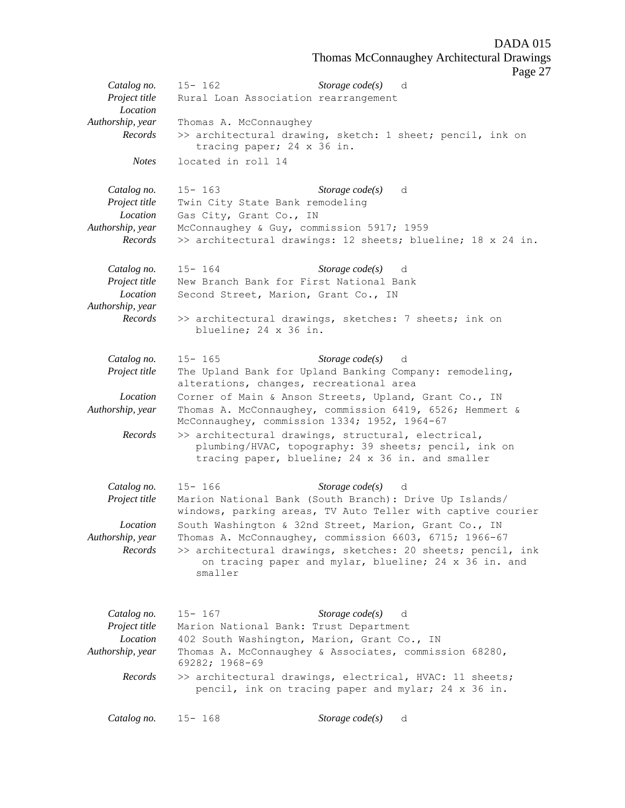Thomas McConnaughey Architectural Drawings

Page 27

|                              |                                             | r age 2                                                                                                               |
|------------------------------|---------------------------------------------|-----------------------------------------------------------------------------------------------------------------------|
| Catalog no.                  | $15 - 162$                                  | Storage $code(s)$ d                                                                                                   |
| Project title                | Rural Loan Association rearrangement        |                                                                                                                       |
| Location                     |                                             |                                                                                                                       |
| Authorship, year             | Thomas A. McConnaughey                      |                                                                                                                       |
| Records                      | tracing paper; 24 x 36 in.                  | >> architectural drawing, sketch: 1 sheet; pencil, ink on                                                             |
| <b>Notes</b>                 | located in roll 14                          |                                                                                                                       |
| Catalog no.                  | $15 - 163$                                  | Storage $code(s)$<br>d                                                                                                |
| Project title                | Twin City State Bank remodeling             |                                                                                                                       |
| Location                     | Gas City, Grant Co., IN                     |                                                                                                                       |
| Authorship, year             | McConnaughey & Guy, commission 5917; 1959   |                                                                                                                       |
| Records                      |                                             | >> architectural drawings: 12 sheets; blueline; 18 x 24 in.                                                           |
| Catalog no.                  | $15 - 164$                                  | Storage $code(s)$ d                                                                                                   |
| Project title                | New Branch Bank for First National Bank     |                                                                                                                       |
| Location<br>Authorship, year | Second Street, Marion, Grant Co., IN        |                                                                                                                       |
| Records                      | blueline; 24 x 36 in.                       | >> architectural drawings, sketches: 7 sheets; ink on                                                                 |
| Catalog no.                  | $15 - 165$                                  | Storage code(s) d                                                                                                     |
| Project title                |                                             | The Upland Bank for Upland Banking Company: remodeling,                                                               |
|                              | alterations, changes, recreational area     |                                                                                                                       |
| Location                     |                                             | Corner of Main & Anson Streets, Upland, Grant Co., IN                                                                 |
| Authorship, year             |                                             | Thomas A. McConnaughey, commission 6419, 6526; Hemmert &<br>McConnaughey, commission 1334; 1952, 1964-67              |
| Records                      |                                             | >> architectural drawings, structural, electrical,                                                                    |
|                              |                                             | plumbing/HVAC, topography: 39 sheets; pencil, ink on<br>tracing paper, blueline; 24 x 36 in. and smaller              |
| Catalog no.                  | $15 - 166$                                  | Storage $code(s)$<br>d                                                                                                |
| Project title                |                                             | Marion National Bank (South Branch): Drive Up Islands/<br>windows, parking areas, TV Auto Teller with captive courier |
| Location                     |                                             | South Washington & 32nd Street, Marion, Grant Co., IN                                                                 |
| Authorship, year             |                                             | Thomas A. McConnaughey, commission 6603, 6715; 1966-67                                                                |
| Records                      | smaller                                     | >> architectural drawings, sketches: 20 sheets; pencil, ink<br>on tracing paper and mylar, blueline; 24 x 36 in. and  |
| Catalog no.                  | $15 - 167$                                  | Storage $code(s)$<br>d                                                                                                |
| Project title                | Marion National Bank: Trust Department      |                                                                                                                       |
| <i>Location</i>              | 402 South Washington, Marion, Grant Co., IN |                                                                                                                       |
| Authorship, year             |                                             | Thomas A. McConnaughey & Associates, commission 68280,                                                                |
|                              | 69282; 1968-69                              |                                                                                                                       |
| Records                      |                                             | >> architectural drawings, electrical, HVAC: 11 sheets;<br>pencil, ink on tracing paper and mylar; 24 x 36 in.        |
| Catalog no.                  | $15 - 168$                                  | Storage code(s)<br>d                                                                                                  |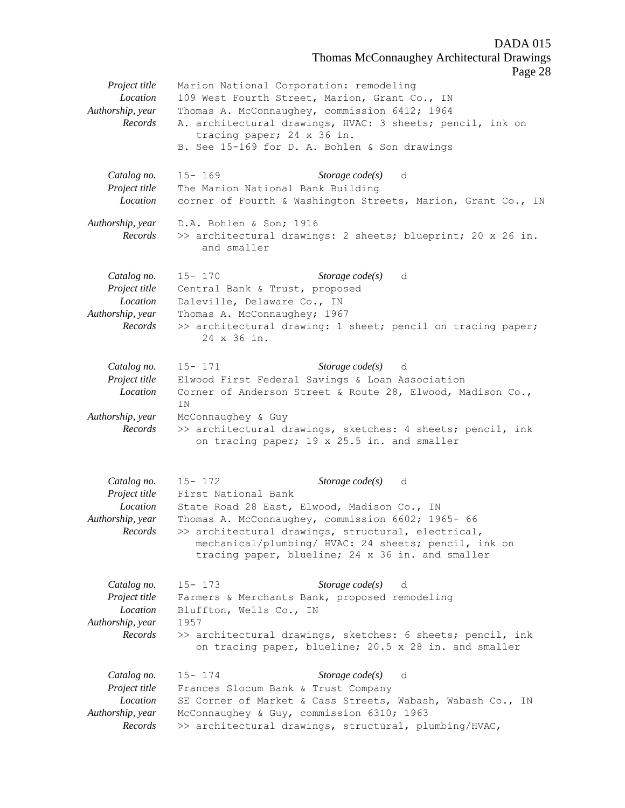Thomas McConnaughey Architectural Drawings

Page 28

*Project title* Marion National Corporation: remodeling *Location* 109 West Fourth Street, Marion, Grant Co., IN *Authorship, year* Thomas A. McConnaughey, commission 6412; 1964 *Records* A. architectural drawings, HVAC: 3 sheets; pencil, ink on tracing paper; 24 x 36 in. B. See 15-169 for D. A. Bohlen & Son drawings *Catalog no.* 15- 169 *Storage code(s)* d *Project title* The Marion National Bank Building *Location* corner of Fourth & Washington Streets, Marion, Grant Co., IN *Authorship, year* D.A. Bohlen & Son; 1916 *Records* >> architectural drawings: 2 sheets; blueprint; 20 x 26 in. and smaller *Catalog no.* 15- 170 *Storage code(s)* d *Project title* Central Bank & Trust, proposed *Location* Daleville, Delaware Co., IN *Authorship, year* Thomas A. McConnaughey; 1967 *Records* >> architectural drawing: 1 sheet; pencil on tracing paper; 24 x 36 in. *Catalog no.* 15- 171 *Storage code(s)* d *Project title* Elwood First Federal Savings & Loan Association *Location* Corner of Anderson Street & Route 28, Elwood, Madison Co., IN *Authorship, year* McConnaughey & Guy *Records* >> architectural drawings, sketches: 4 sheets; pencil, ink on tracing paper; 19 x 25.5 in. and smaller *Catalog no.* 15- 172 *Storage code(s)* d *Project title* First National Bank *Location* State Road 28 East, Elwood, Madison Co., IN *Authorship, year* Thomas A. McConnaughey, commission 6602; 1965- 66 *Records* >> architectural drawings, structural, electrical, mechanical/plumbing/ HVAC: 24 sheets; pencil, ink on tracing paper, blueline; 24 x 36 in. and smaller *Catalog no.* 15- 173 *Storage code(s)* d *Project title* Farmers & Merchants Bank, proposed remodeling *Location* Bluffton, Wells Co., IN *Authorship, year* 1957 *Records* >> architectural drawings, sketches: 6 sheets; pencil, ink on tracing paper, blueline; 20.5 x 28 in. and smaller *Catalog no.* 15- 174 *Storage code(s)* d *Project title* Frances Slocum Bank & Trust Company *Location* SE Corner of Market & Cass Streets, Wabash, Wabash Co., IN *Authorship, year* McConnaughey & Guy, commission 6310; 1963 *Records* >> architectural drawings, structural, plumbing/HVAC,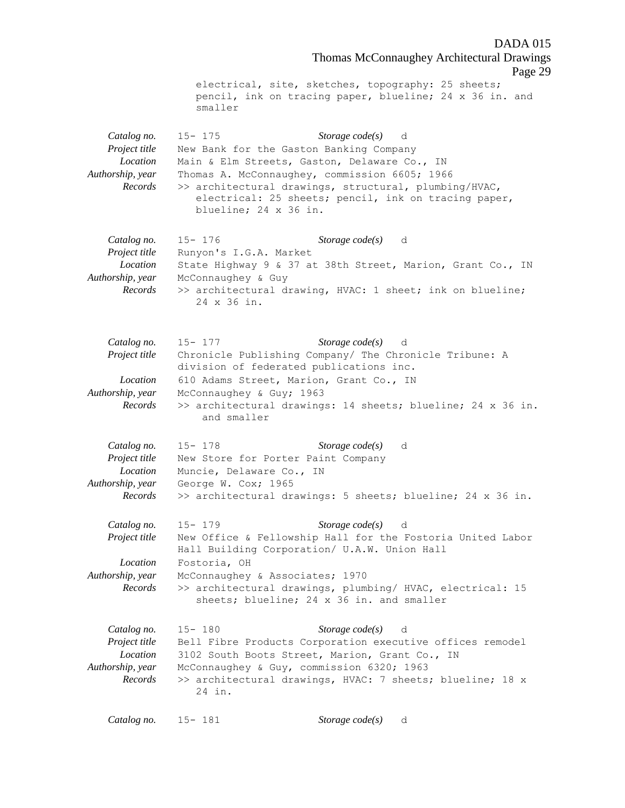Thomas McConnaughey Architectural Drawings Page 29 electrical, site, sketches, topography: 25 sheets; pencil, ink on tracing paper, blueline; 24 x 36 in. and smaller *Catalog no.* 15- 175 *Storage code(s)* d *Project title* New Bank for the Gaston Banking Company *Location* Main & Elm Streets, Gaston, Delaware Co., IN *Authorship, year* Thomas A. McConnaughey, commission 6605; 1966 *Records* >> architectural drawings, structural, plumbing/HVAC, electrical: 25 sheets; pencil, ink on tracing paper, blueline; 24 x 36 in. *Catalog no.* 15- 176 *Storage code(s)* d *Project title* Runyon's I.G.A. Market *Location* State Highway 9 & 37 at 38th Street, Marion, Grant Co., IN *Authorship, year* McConnaughey & Guy *Records* >> architectural drawing, HVAC: 1 sheet; ink on blueline; 24 x 36 in. *Catalog no.* 15- 177 *Storage code(s)* d *Project title* Chronicle Publishing Company/ The Chronicle Tribune: A division of federated publications inc. *Location* 610 Adams Street, Marion, Grant Co., IN *Authorship, year* McConnaughey & Guy; 1963 *Records* >> architectural drawings: 14 sheets; blueline; 24 x 36 in. and smaller *Catalog no.* 15- 178 *Storage code(s)* d *Project title* New Store for Porter Paint Company *Location* Muncie, Delaware Co., IN *Authorship, year* George W. Cox; 1965 *Records* >> architectural drawings: 5 sheets; blueline; 24 x 36 in. *Catalog no.* 15- 179 *Storage code(s)* d *Project title* New Office & Fellowship Hall for the Fostoria United Labor Hall Building Corporation/ U.A.W. Union Hall *Location* Fostoria, OH *Authorship, year* McConnaughey & Associates; 1970 *Records* >> architectural drawings, plumbing/ HVAC, electrical: 15 sheets; blueline; 24 x 36 in. and smaller *Catalog no.* 15- 180 *Storage code(s)* d *Project title* Bell Fibre Products Corporation executive offices remodel *Location* 3102 South Boots Street, Marion, Grant Co., IN *Authorship, year* McConnaughey & Guy, commission 6320; 1963 *Records* >> architectural drawings, HVAC: 7 sheets; blueline; 18 x 24 in. *Catalog no.* 15- 181 *Storage code(s)* d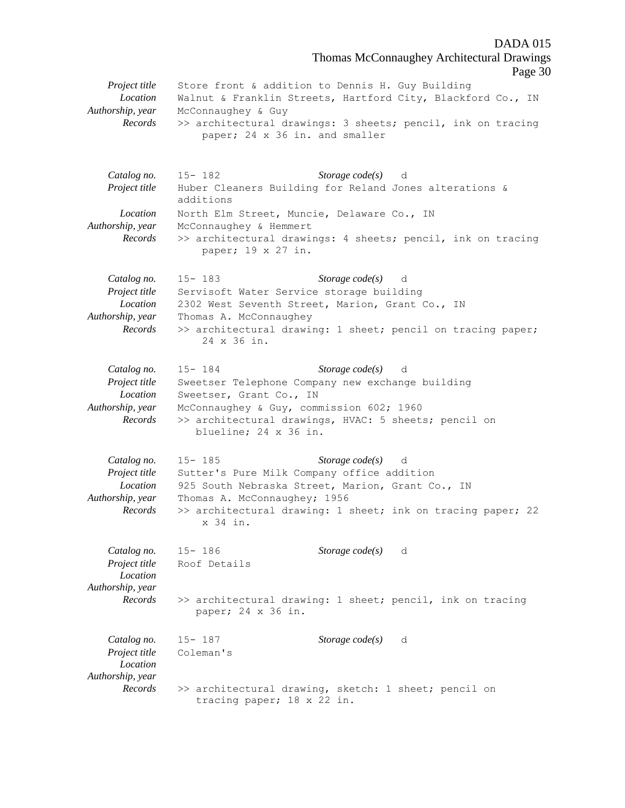DADA 015 Thomas McConnaughey Architectural Drawings Page 30 *Project title* Store front & addition to Dennis H. Guy Building *Location* Walnut & Franklin Streets, Hartford City, Blackford Co., IN *Authorship, year* McConnaughey & Guy *Records* >> architectural drawings: 3 sheets; pencil, ink on tracing paper; 24 x 36 in. and smaller *Catalog no.* 15- 182 *Storage code(s)* d *Project title* Huber Cleaners Building for Reland Jones alterations & additions *Location* North Elm Street, Muncie, Delaware Co., IN *Authorship, year* McConnaughey & Hemmert *Records* >> architectural drawings: 4 sheets; pencil, ink on tracing paper; 19 x 27 in. *Catalog no.* 15- 183 *Storage code(s)* d *Project title* Servisoft Water Service storage building *Location* 2302 West Seventh Street, Marion, Grant Co., IN *Authorship, year* Thomas A. McConnaughey *Records* >> architectural drawing: 1 sheet; pencil on tracing paper; 24 x 36 in. *Catalog no.* 15- 184 *Storage code(s)* d *Project title* Sweetser Telephone Company new exchange building *Location* Sweetser, Grant Co., IN *Authorship, year* McConnaughey & Guy, commission 602; 1960 *Records* >> architectural drawings, HVAC: 5 sheets; pencil on blueline; 24 x 36 in. *Catalog no.* 15- 185 *Storage code(s)* d *Project title* Sutter's Pure Milk Company office addition *Location* 925 South Nebraska Street, Marion, Grant Co., IN *Authorship, year* Thomas A. McConnaughey; 1956 *Records* >> architectural drawing: 1 sheet; ink on tracing paper; 22 x 34 in. *Catalog no.* 15- 186 *Storage code(s)* d *Project title* Roof Details *Location Authorship, year Records* >> architectural drawing: 1 sheet; pencil, ink on tracing paper; 24 x 36 in. *Catalog no.* 15- 187 *Storage code(s)* d *Project title* Coleman's *Location Authorship, year Records* >> architectural drawing, sketch: 1 sheet; pencil on tracing paper; 18 x 22 in.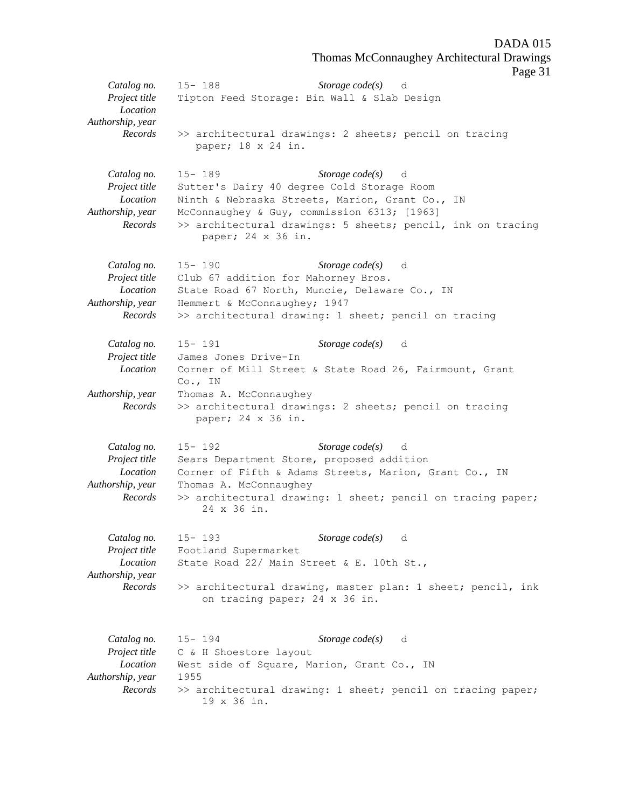Thomas McConnaughey Architectural Drawings

Page 31

*Catalog no.* 15- 188 *Storage code(s)* d *Project title* Tipton Feed Storage: Bin Wall & Slab Design *Location Authorship, year Records* >> architectural drawings: 2 sheets; pencil on tracing paper; 18 x 24 in. *Catalog no.* 15- 189 *Storage code(s)* d *Project title* Sutter's Dairy 40 degree Cold Storage Room *Location* Ninth & Nebraska Streets, Marion, Grant Co., IN *Authorship, year* McConnaughey & Guy, commission 6313; [1963] *Records* >> architectural drawings: 5 sheets; pencil, ink on tracing paper; 24 x 36 in. *Catalog no.* 15- 190 *Storage code(s)* d *Project title* Club 67 addition for Mahorney Bros. *Location* State Road 67 North, Muncie, Delaware Co., IN *Authorship, year* Hemmert & McConnaughey; 1947 *Records* >> architectural drawing: 1 sheet; pencil on tracing *Catalog no.* 15- 191 *Storage code(s)* d *Project title* James Jones Drive-In *Location* Corner of Mill Street & State Road 26, Fairmount, Grant Co., IN *Authorship, year* Thomas A. McConnaughey *Records* >> architectural drawings: 2 sheets; pencil on tracing paper; 24 x 36 in. *Catalog no.* 15- 192 *Storage code(s)* d *Project title* Sears Department Store, proposed addition *Location* Corner of Fifth & Adams Streets, Marion, Grant Co., IN *Authorship, year* Thomas A. McConnaughey *Records* >> architectural drawing: 1 sheet; pencil on tracing paper; 24 x 36 in. *Catalog no.* 15- 193 *Storage code(s)* d *Project title* Footland Supermarket *Location* State Road 22/ Main Street & E. 10th St., *Authorship, year Records* >> architectural drawing, master plan: 1 sheet; pencil, ink on tracing paper; 24 x 36 in. *Catalog no.* 15- 194 *Storage code(s)* d *Project title* C & H Shoestore layout *Location* West side of Square, Marion, Grant Co., IN *Authorship, year* 1955 *Records* >> architectural drawing: 1 sheet; pencil on tracing paper; 19 x 36 in.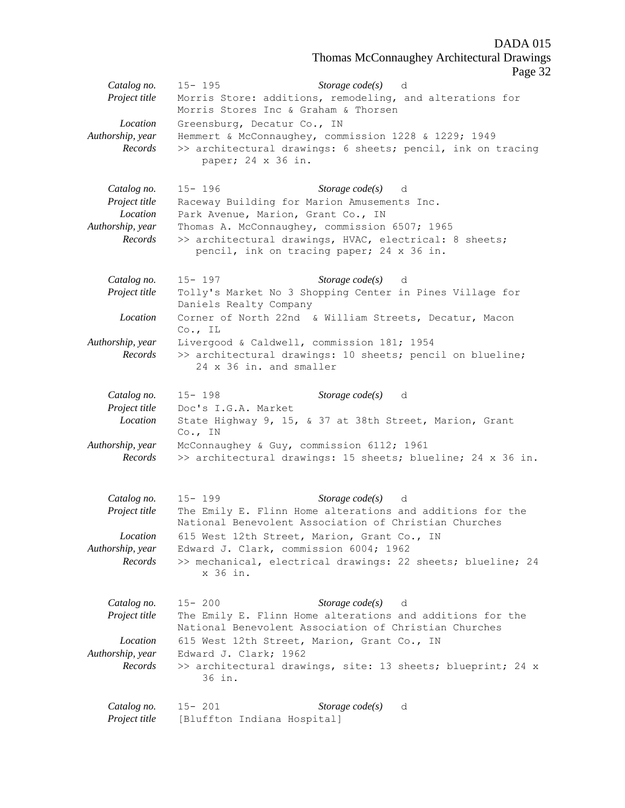Thomas McConnaughey Architectural Drawings

Page 32

|                                          | rage b                                                                                                                                                               |
|------------------------------------------|----------------------------------------------------------------------------------------------------------------------------------------------------------------------|
| Catalog no.<br>Project title<br>Location | Storage $code(s)$ d<br>$15 - 195$<br>Morris Store: additions, remodeling, and alterations for<br>Morris Stores Inc & Graham & Thorsen<br>Greensburg, Decatur Co., IN |
| Authorship, year<br>Records              | Hemmert & McConnaughey, commission 1228 & 1229; 1949<br>>> architectural drawings: 6 sheets; pencil, ink on tracing<br>paper; 24 x 36 in.                            |
| Catalog no.<br>Project title             | $15 - 196$<br>Storage code(s) d<br>Raceway Building for Marion Amusements Inc.                                                                                       |
| Location                                 | Park Avenue, Marion, Grant Co., IN                                                                                                                                   |
| Authorship, year                         | Thomas A. McConnaughey, commission 6507; 1965                                                                                                                        |
| Records                                  | >> architectural drawings, HVAC, electrical: 8 sheets;<br>pencil, ink on tracing paper; 24 x 36 in.                                                                  |
| Catalog no.                              | Storage $code(s)$ d<br>$15 - 197$                                                                                                                                    |
| Project title                            | Tolly's Market No 3 Shopping Center in Pines Village for<br>Daniels Realty Company                                                                                   |
| Location                                 | Corner of North 22nd & William Streets, Decatur, Macon<br>$Co.$ , IL                                                                                                 |
| Authorship, year                         | Livergood & Caldwell, commission 181; 1954                                                                                                                           |
| Records                                  | >> architectural drawings: 10 sheets; pencil on blueline;<br>24 x 36 in. and smaller                                                                                 |
| Catalog no.                              | $15 - 198$<br>Storage $code(s)$<br>d                                                                                                                                 |
| Project title                            | Doc's I.G.A. Market                                                                                                                                                  |
| Location                                 | State Highway 9, 15, & 37 at 38th Street, Marion, Grant<br>$Co.$ , IN                                                                                                |
| Authorship, year                         | McConnaughey & Guy, commission 6112; 1961                                                                                                                            |
| Records                                  | >> architectural drawings: 15 sheets; blueline; 24 x 36 in.                                                                                                          |
| Catalog no.                              | Storage $code(s)$<br>$15 - 199$<br>d                                                                                                                                 |
| Project title                            | The Emily E. Flinn Home alterations and additions for the<br>National Benevolent Association of Christian Churches                                                   |
| Location                                 | 615 West 12th Street, Marion, Grant Co., IN                                                                                                                          |
| Authorship, year<br>Records              | Edward J. Clark, commission 6004; 1962<br>>> mechanical, electrical drawings: 22 sheets; blueline; 24<br>x 36 in.                                                    |
| Catalog no.                              | Storage $code(s)$<br>$15 - 200$<br>d                                                                                                                                 |
| Project title                            | The Emily E. Flinn Home alterations and additions for the<br>National Benevolent Association of Christian Churches                                                   |
| Location                                 | 615 West 12th Street, Marion, Grant Co., IN                                                                                                                          |
| Authorship, year<br>Records              | Edward J. Clark; 1962<br>>> architectural drawings, site: 13 sheets; blueprint; 24 x<br>36 in.                                                                       |
| Catalog no.                              | $15 - 201$<br>Storage $code(s)$<br>d                                                                                                                                 |
| Project title                            | [Bluffton Indiana Hospital]                                                                                                                                          |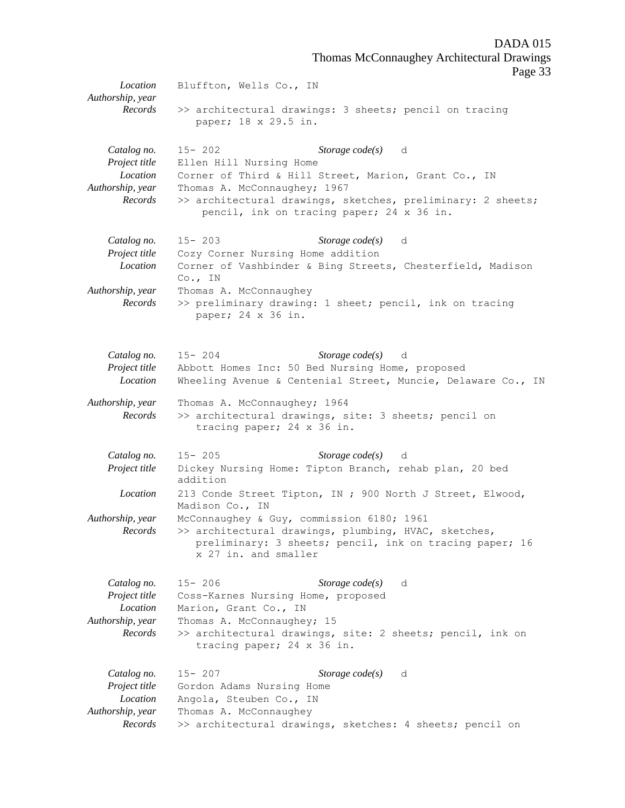Thomas McConnaughey Architectural Drawings

Page 33

*Location* Bluffton, Wells Co., IN *Authorship, year Records* >> architectural drawings: 3 sheets; pencil on tracing paper; 18 x 29.5 in. *Catalog no.* 15- 202 *Storage code(s)* d *Project title* Ellen Hill Nursing Home *Location* Corner of Third & Hill Street, Marion, Grant Co., IN *Authorship, year* Thomas A. McConnaughey; 1967 *Records* >> architectural drawings, sketches, preliminary: 2 sheets; pencil, ink on tracing paper; 24 x 36 in. *Catalog no.* 15- 203 *Storage code(s)* d *Project title* Cozy Corner Nursing Home addition *Location* Corner of Vashbinder & Bing Streets, Chesterfield, Madison Co., IN *Authorship, year* Thomas A. McConnaughey *Records* >> preliminary drawing: 1 sheet; pencil, ink on tracing paper; 24 x 36 in. *Catalog no.* 15- 204 *Storage code(s)* d *Project title* Abbott Homes Inc: 50 Bed Nursing Home, proposed *Location* Wheeling Avenue & Centenial Street, Muncie, Delaware Co., IN *Authorship, year* Thomas A. McConnaughey; 1964 *Records* >> architectural drawings, site: 3 sheets; pencil on tracing paper; 24 x 36 in. *Catalog no.* 15- 205 *Storage code(s)* d *Project title* Dickey Nursing Home: Tipton Branch, rehab plan, 20 bed addition *Location* 213 Conde Street Tipton, IN ; 900 North J Street, Elwood, Madison Co., IN *Authorship, year* McConnaughey & Guy, commission 6180; 1961 *Records* >> architectural drawings, plumbing, HVAC, sketches, preliminary: 3 sheets; pencil, ink on tracing paper; 16 x 27 in. and smaller *Catalog no.* 15- 206 *Storage code(s)* d *Project title* Coss-Karnes Nursing Home, proposed *Location* Marion, Grant Co., IN *Authorship, year* Thomas A. McConnaughey; 15 *Records* >> architectural drawings, site: 2 sheets; pencil, ink on tracing paper; 24 x 36 in. *Catalog no.* 15- 207 *Storage code(s)* d *Project title* Gordon Adams Nursing Home *Location* Angola, Steuben Co., IN *Authorship, year* Thomas A. McConnaughey *Records* >> architectural drawings, sketches: 4 sheets; pencil on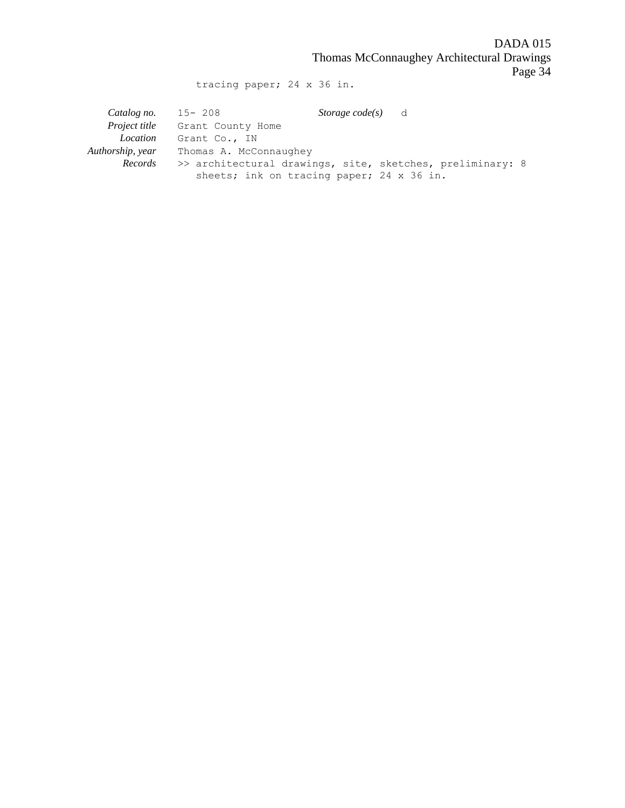DADA 015 Thomas McConnaughey Architectural Drawings Page 34

tracing paper; 24 x 36 in.

| Catalog no.          | 15-208                                                    | <i>Storage code(s)</i> d |  |
|----------------------|-----------------------------------------------------------|--------------------------|--|
| <i>Project title</i> | Grant County Home                                         |                          |  |
| Location             | Grant Co., IN                                             |                          |  |
| Authorship, year     | Thomas A. McConnaughey                                    |                          |  |
| Records              | >> architectural drawings, site, sketches, preliminary: 8 |                          |  |
|                      | sheets; ink on tracing paper; 24 x 36 in.                 |                          |  |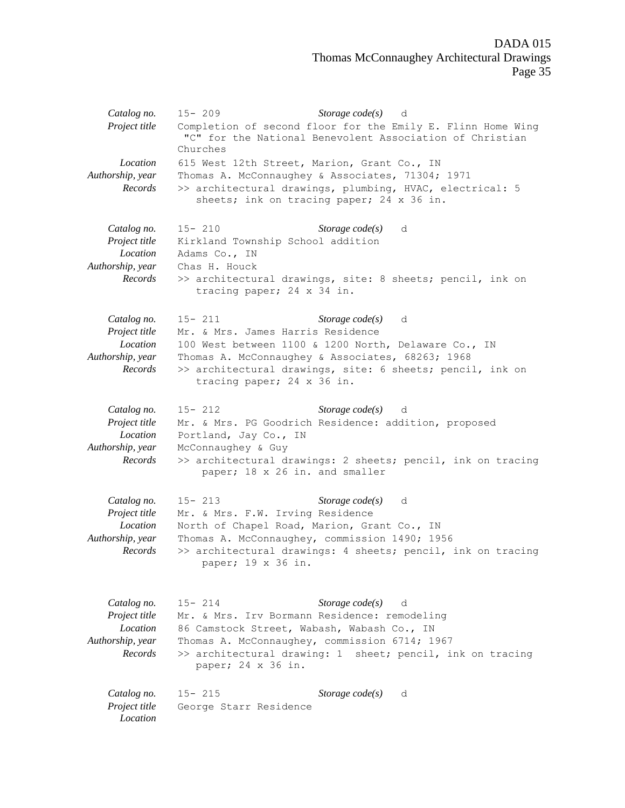| Catalog no.<br>Project title                                            | $15 - 209$<br>Storage $code(s)$<br>d<br>Completion of second floor for the Emily E. Flinn Home Wing<br>"C" for the National Benevolent Association of Christian<br>Churches                                                                                                        |
|-------------------------------------------------------------------------|------------------------------------------------------------------------------------------------------------------------------------------------------------------------------------------------------------------------------------------------------------------------------------|
| Location<br>Authorship, year<br>Records                                 | 615 West 12th Street, Marion, Grant Co., IN<br>Thomas A. McConnaughey & Associates, 71304; 1971<br>>> architectural drawings, plumbing, HVAC, electrical: 5<br>sheets; ink on tracing paper; 24 x 36 in.                                                                           |
| Catalog no.<br>Project title<br>Location<br>Authorship, year<br>Records | $15 - 210$<br>Storage $code(s)$<br>d<br>Kirkland Township School addition<br>Adams Co., IN<br>Chas H. Houck<br>>> architectural drawings, site: 8 sheets; pencil, ink on<br>tracing paper; 24 x 34 in.                                                                             |
| Catalog no.<br>Project title<br>Location<br>Authorship, year<br>Records | $15 - 211$<br><i>Storage code(s)</i> d<br>Mr. & Mrs. James Harris Residence<br>100 West between 1100 & 1200 North, Delaware Co., IN<br>Thomas A. McConnaughey & Associates, 68263; 1968<br>>> architectural drawings, site: 6 sheets; pencil, ink on<br>tracing paper; 24 x 36 in. |
| Catalog no.<br>Project title<br>Location<br>Authorship, year<br>Records | $15 - 212$<br>Storage $code(s)$ d<br>Mr. & Mrs. PG Goodrich Residence: addition, proposed<br>Portland, Jay Co., IN<br>McConnaughey & Guy<br>>> architectural drawings: 2 sheets; pencil, ink on tracing<br>paper; 18 x 26 in. and smaller                                          |
| Catalog no.<br>Project title<br>Location<br>Authorship, year<br>Records | $15 - 213$<br>Storage $code(s)$<br>d<br>Mr. & Mrs. F.W. Irving Residence<br>North of Chapel Road, Marion, Grant Co., IN<br>Thomas A. McConnaughey, commission 1490; 1956<br>>> architectural drawings: 4 sheets; pencil, ink on tracing<br>paper; 19 x 36 in.                      |
| Catalog no.<br>Project title<br>Location<br>Authorship, year<br>Records | Storage $code(s)$<br>$15 - 214$<br>d<br>Mr. & Mrs. Irv Bormann Residence: remodeling<br>86 Camstock Street, Wabash, Wabash Co., IN<br>Thomas A. McConnaughey, commission 6714; 1967<br>>> architectural drawing: 1 sheet; pencil, ink on tracing<br>paper; 24 x 36 in.             |
| Catalog no.<br>Project title<br>Location                                | Storage $code(s)$<br>$15 - 215$<br>d<br>George Starr Residence                                                                                                                                                                                                                     |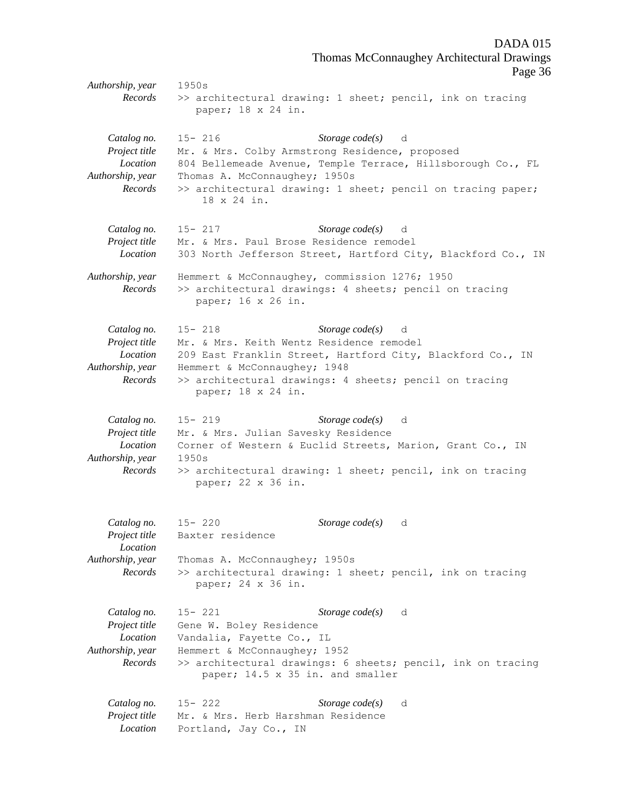Thomas McConnaughey Architectural Drawings Page 36 *Authorship, year* 1950s *Records* >> architectural drawing: 1 sheet; pencil, ink on tracing paper; 18 x 24 in. *Catalog no.* 15- 216 *Storage code(s)* d *Project title* Mr. & Mrs. Colby Armstrong Residence, proposed *Location* 804 Bellemeade Avenue, Temple Terrace, Hillsborough Co., FL *Authorship, year* Thomas A. McConnaughey; 1950s *Records* >> architectural drawing: 1 sheet; pencil on tracing paper; 18 x 24 in. *Catalog no.* 15- 217 *Storage code(s)* d *Project title* Mr. & Mrs. Paul Brose Residence remodel *Location* 303 North Jefferson Street, Hartford City, Blackford Co., IN *Authorship, year* Hemmert & McConnaughey, commission 1276; 1950 *Records* >> architectural drawings: 4 sheets; pencil on tracing paper; 16 x 26 in. *Catalog no.* 15- 218 *Storage code(s)* d *Project title* Mr. & Mrs. Keith Wentz Residence remodel *Location* 209 East Franklin Street, Hartford City, Blackford Co., IN *Authorship, year* Hemmert & McConnaughey; 1948 *Records* >> architectural drawings: 4 sheets; pencil on tracing paper; 18 x 24 in. *Catalog no.* 15- 219 *Storage code(s)* d *Project title* Mr. & Mrs. Julian Savesky Residence *Location* Corner of Western & Euclid Streets, Marion, Grant Co., IN *Authorship, year* 1950s *Records* >> architectural drawing: 1 sheet; pencil, ink on tracing paper; 22 x 36 in. *Catalog no.* 15- 220 *Storage code(s)* d *Project title* Baxter residence *Location Authorship, year* Thomas A. McConnaughey; 1950s *Records* >> architectural drawing: 1 sheet; pencil, ink on tracing paper; 24 x 36 in. *Catalog no.* 15- 221 *Storage code(s)* d *Project title* Gene W. Boley Residence *Location* Vandalia, Fayette Co., IL *Authorship, year* Hemmert & McConnaughey; 1952 *Records* >> architectural drawings: 6 sheets; pencil, ink on tracing paper; 14.5 x 35 in. and smaller

DADA 015

*Catalog no.* 15- 222 *Storage code(s)* d *Project title* Mr. & Mrs. Herb Harshman Residence *Location* Portland, Jay Co., IN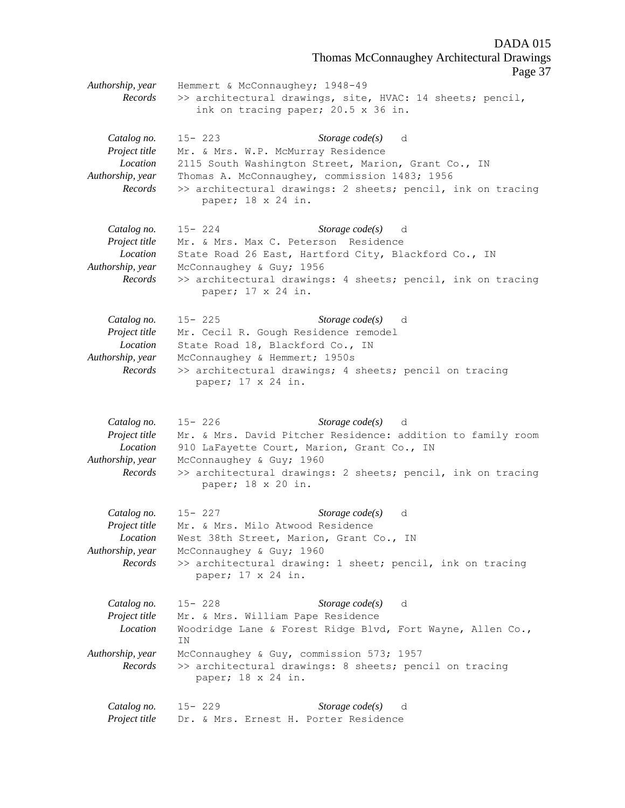Thomas McConnaughey Architectural Drawings Page 37 *Authorship, year* Hemmert & McConnaughey; 1948-49 *Records* >> architectural drawings, site, HVAC: 14 sheets; pencil, ink on tracing paper; 20.5 x 36 in. *Catalog no.* 15- 223 *Storage code(s)* d *Project title* Mr. & Mrs. W.P. McMurray Residence *Location* 2115 South Washington Street, Marion, Grant Co., IN *Authorship, year* Thomas A. McConnaughey, commission 1483; 1956 *Records* >> architectural drawings: 2 sheets; pencil, ink on tracing paper; 18 x 24 in. *Catalog no.* 15- 224 *Storage code(s)* d *Project title* Mr. & Mrs. Max C. Peterson Residence *Location* State Road 26 East, Hartford City, Blackford Co., IN *Authorship, year* McConnaughey & Guy; 1956 *Records* >> architectural drawings: 4 sheets; pencil, ink on tracing paper; 17 x 24 in. *Catalog no.* 15- 225 *Storage code(s)* d *Project title* Mr. Cecil R. Gough Residence remodel *Location* State Road 18, Blackford Co., IN *Authorship, year* McConnaughey & Hemmert; 1950s *Records* >> architectural drawings; 4 sheets; pencil on tracing paper; 17 x 24 in. *Catalog no.* 15- 226 *Storage code(s)* d *Project title* Mr. & Mrs. David Pitcher Residence: addition to family room *Location* 910 LaFayette Court, Marion, Grant Co., IN *Authorship, year* McConnaughey & Guy; 1960 *Records* >> architectural drawings: 2 sheets; pencil, ink on tracing paper; 18 x 20 in. *Catalog no.* 15- 227 *Storage code(s)* d *Project title* Mr. & Mrs. Milo Atwood Residence *Location* West 38th Street, Marion, Grant Co., IN *Authorship, year* McConnaughey & Guy; 1960 *Records* >> architectural drawing: 1 sheet; pencil, ink on tracing paper; 17 x 24 in. *Catalog no.* 15- 228 *Storage code(s)* d *Project title* Mr. & Mrs. William Pape Residence *Location* Woodridge Lane & Forest Ridge Blvd, Fort Wayne, Allen Co., IN *Authorship, year* McConnaughey & Guy, commission 573; 1957 *Records* >> architectural drawings: 8 sheets; pencil on tracing paper; 18 x 24 in. *Catalog no.* 15- 229 *Storage code(s)* d *Project title* Dr. & Mrs. Ernest H. Porter Residence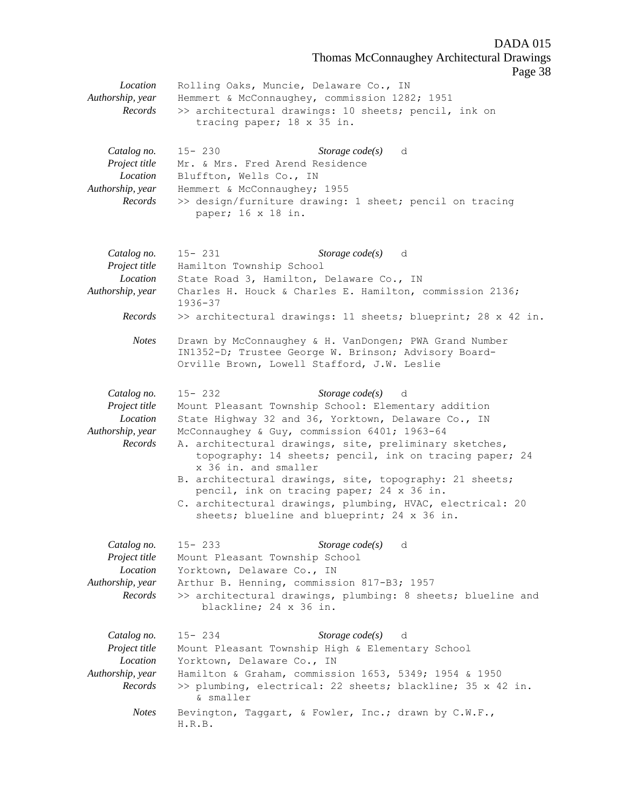Thomas McConnaughey Architectural Drawings Page 38 *Location* Rolling Oaks, Muncie, Delaware Co., IN *Authorship, year* Hemmert & McConnaughey, commission 1282; 1951 *Records* >> architectural drawings: 10 sheets; pencil, ink on tracing paper; 18 x 35 in. *Catalog no.* 15- 230 *Storage code(s)* d *Project title* Mr. & Mrs. Fred Arend Residence *Location* Bluffton, Wells Co., IN *Authorship, year* Hemmert & McConnaughey; 1955 *Records* >> design/furniture drawing: 1 sheet; pencil on tracing paper; 16 x 18 in. *Catalog no.* 15- 231 *Storage code(s)* d *Project title* Hamilton Township School *Location* State Road 3, Hamilton, Delaware Co., IN *Authorship, year* Charles H. Houck & Charles E. Hamilton, commission 2136; 1936-37 *Records* >> architectural drawings: 11 sheets; blueprint; 28 x 42 in. *Notes* Drawn by McConnaughey & H. VanDongen; PWA Grand Number IN1352-D; Trustee George W. Brinson; Advisory Board-Orville Brown, Lowell Stafford, J.W. Leslie *Catalog no.* 15- 232 *Storage code(s)* d *Project title* Mount Pleasant Township School: Elementary addition *Location* State Highway 32 and 36, Yorktown, Delaware Co., IN *Authorship, year* McConnaughey & Guy, commission 6401; 1963-64 *Records* A. architectural drawings, site, preliminary sketches, topography: 14 sheets; pencil, ink on tracing paper; 24 x 36 in. and smaller B. architectural drawings, site, topography: 21 sheets; pencil, ink on tracing paper; 24 x 36 in. C. architectural drawings, plumbing, HVAC, electrical: 20 sheets; blueline and blueprint; 24 x 36 in. *Catalog no.* 15- 233 *Storage code(s)* d *Project title* Mount Pleasant Township School *Location* Yorktown, Delaware Co., IN *Authorship, year* Arthur B. Henning, commission 817-B3; 1957 *Records* >> architectural drawings, plumbing: 8 sheets; blueline and blackline; 24 x 36 in. *Catalog no.* 15- 234 *Storage code(s)* d *Project title* Mount Pleasant Township High & Elementary School *Location* Yorktown, Delaware Co., IN *Authorship, year* Hamilton & Graham, commission 1653, 5349; 1954 & 1950 *Records* >> plumbing, electrical: 22 sheets; blackline; 35 x 42 in. & smaller *Notes* Bevington, Taggart, & Fowler, Inc.; drawn by C.W.F., H.R.B.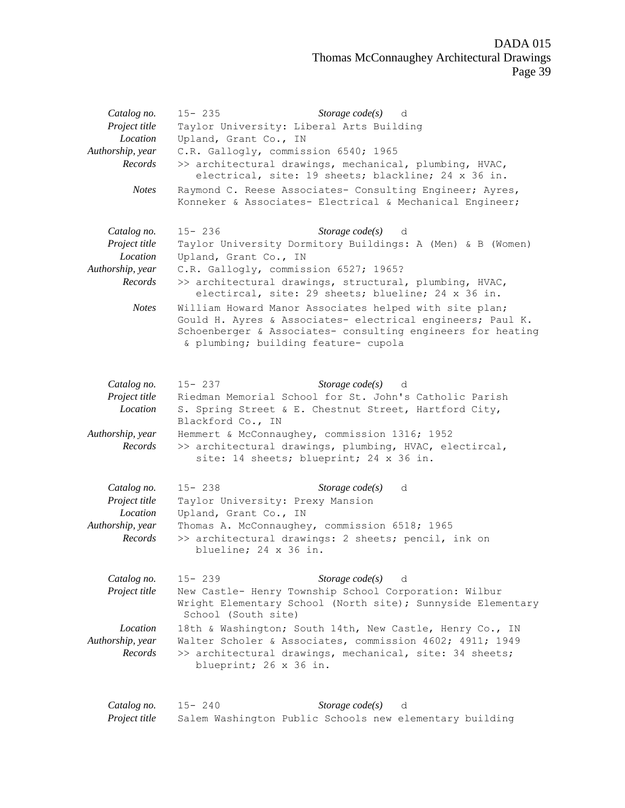| Catalog no.                 | $15 - 235$<br>Storage $code(s)$<br>d                                                                                                                                                                                        |  |  |  |  |
|-----------------------------|-----------------------------------------------------------------------------------------------------------------------------------------------------------------------------------------------------------------------------|--|--|--|--|
| Project title               | Taylor University: Liberal Arts Building                                                                                                                                                                                    |  |  |  |  |
| Location                    | Upland, Grant Co., IN                                                                                                                                                                                                       |  |  |  |  |
| Authorship, year            | C.R. Gallogly, commission 6540; 1965                                                                                                                                                                                        |  |  |  |  |
| Records                     | >> architectural drawings, mechanical, plumbing, HVAC,<br>electrical, site: 19 sheets; blackline; 24 x 36 in.                                                                                                               |  |  |  |  |
| <b>Notes</b>                | Raymond C. Reese Associates- Consulting Engineer; Ayres,<br>Konneker & Associates- Electrical & Mechanical Engineer;                                                                                                        |  |  |  |  |
| Catalog no.                 | Storage $code(s)$<br>$15 - 236$<br>d                                                                                                                                                                                        |  |  |  |  |
| Project title<br>Location   | Taylor University Dormitory Buildings: A (Men) & B (Women)<br>Upland, Grant Co., IN                                                                                                                                         |  |  |  |  |
| Authorship, year            | C.R. Gallogly, commission 6527; 1965?                                                                                                                                                                                       |  |  |  |  |
| Records                     | >> architectural drawings, structural, plumbing, HVAC,<br>electircal, site: 29 sheets; blueline; 24 x 36 in.                                                                                                                |  |  |  |  |
| <b>Notes</b>                | William Howard Manor Associates helped with site plan;<br>Gould H. Ayres & Associates- electrical engineers; Paul K.<br>Schoenberger & Associates- consulting engineers for heating<br>& plumbing; building feature- cupola |  |  |  |  |
| Catalog no.                 | $15 - 237$<br>Storage $code(s)$<br>d                                                                                                                                                                                        |  |  |  |  |
| Project title               | Riedman Memorial School for St. John's Catholic Parish                                                                                                                                                                      |  |  |  |  |
| Location                    | S. Spring Street & E. Chestnut Street, Hartford City,<br>Blackford Co., IN                                                                                                                                                  |  |  |  |  |
| Authorship, year<br>Records | Hemmert & McConnaughey, commission 1316; 1952<br>>> architectural drawings, plumbing, HVAC, electircal,<br>site: 14 sheets; blueprint; 24 x 36 in.                                                                          |  |  |  |  |
| Catalog no.                 | $15 - 238$<br>Storage $code(s)$<br>d                                                                                                                                                                                        |  |  |  |  |
| Project title<br>Location   | Taylor University: Prexy Mansion<br>Upland, Grant Co., IN                                                                                                                                                                   |  |  |  |  |
| Authorship, year            | Thomas A. McConnaughey, commission 6518; 1965                                                                                                                                                                               |  |  |  |  |
| Records                     | >> architectural drawings: 2 sheets; pencil, ink on<br>blueline; 24 x 36 in.                                                                                                                                                |  |  |  |  |
| Catalog no.                 | Storage $code(s)$<br>$15 - 239$<br>d                                                                                                                                                                                        |  |  |  |  |
| Project title               | New Castle- Henry Township School Corporation: Wilbur<br>Wright Elementary School (North site); Sunnyside Elementary<br>School (South site)                                                                                 |  |  |  |  |
| Location                    | 18th & Washington; South 14th, New Castle, Henry Co., IN                                                                                                                                                                    |  |  |  |  |
| Authorship, year            | Walter Scholer & Associates, commission 4602; 4911; 1949                                                                                                                                                                    |  |  |  |  |
| Records                     | >> architectural drawings, mechanical, site: 34 sheets;<br>blueprint; 26 x 36 in.                                                                                                                                           |  |  |  |  |
| Catalog no.                 | Storage code(s)<br>$15 - 240$<br>d                                                                                                                                                                                          |  |  |  |  |
| Project title               | Salem Washington Public Schools new elementary building                                                                                                                                                                     |  |  |  |  |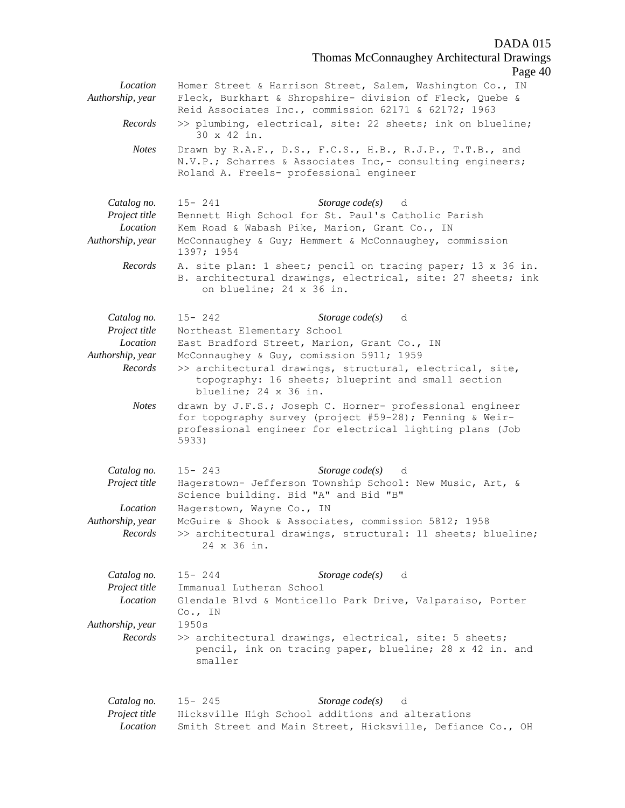Thomas McConnaughey Architectural Drawings

|                                         |                                                                                                                                                                                                                                                            | Page 4 |
|-----------------------------------------|------------------------------------------------------------------------------------------------------------------------------------------------------------------------------------------------------------------------------------------------------------|--------|
| Location<br>Authorship, year<br>Records | Homer Street & Harrison Street, Salem, Washington Co., IN<br>Fleck, Burkhart & Shropshire- division of Fleck, Quebe &<br>Reid Associates Inc., commission 62171 & 62172; 1963<br>>> plumbing, electrical, site: 22 sheets; ink on blueline;<br>30 x 42 in. |        |
| <b>Notes</b>                            | Drawn by R.A.F., D.S., F.C.S., H.B., R.J.P., T.T.B., and<br>N.V.P.; Scharres & Associates Inc, - consulting engineers;<br>Roland A. Freels- professional engineer                                                                                          |        |
| Catalog no.                             | Storage $code(s)$ d<br>$15 - 241$                                                                                                                                                                                                                          |        |
| Project title                           | Bennett High School for St. Paul's Catholic Parish                                                                                                                                                                                                         |        |
| Location                                | Kem Road & Wabash Pike, Marion, Grant Co., IN                                                                                                                                                                                                              |        |
| Authorship, year                        | McConnaughey & Guy; Hemmert & McConnaughey, commission<br>1397; 1954                                                                                                                                                                                       |        |
| Records                                 | A. site plan: 1 sheet; pencil on tracing paper; 13 x 36 in.<br>B. architectural drawings, electrical, site: 27 sheets; ink<br>on blueline; 24 x 36 in.                                                                                                     |        |
| Catalog no.                             | Storage $code(s)$<br>$15 - 242$<br>d                                                                                                                                                                                                                       |        |
| Project title                           | Northeast Elementary School                                                                                                                                                                                                                                |        |
| Location                                | East Bradford Street, Marion, Grant Co., IN                                                                                                                                                                                                                |        |
| Authorship, year<br>Records             | McConnaughey & Guy, comission 5911; 1959<br>>> architectural drawings, structural, electrical, site,<br>topography: 16 sheets; blueprint and small section<br>blueline; 24 x 36 in.                                                                        |        |
| <b>Notes</b>                            | drawn by J.F.S.; Joseph C. Horner- professional engineer<br>for topography survey (project #59-28); Fenning & Weir-<br>professional engineer for electrical lighting plans (Job<br>5933)                                                                   |        |
| Catalog no.                             | Storage $code(s)$<br>$15 - 243$<br>d                                                                                                                                                                                                                       |        |
| Project title                           | Hagerstown- Jefferson Township School: New Music, Art, &<br>Science building. Bid "A" and Bid "B"                                                                                                                                                          |        |
| Location                                | Hagerstown, Wayne Co., IN                                                                                                                                                                                                                                  |        |
| Authorship, year                        | McGuire & Shook & Associates, commission 5812; 1958                                                                                                                                                                                                        |        |
| Records                                 | >> architectural drawings, structural: 11 sheets; blueline;<br>24 x 36 in.                                                                                                                                                                                 |        |
| Catalog no.                             | Storage $code(s)$<br>$15 - 244$<br>d                                                                                                                                                                                                                       |        |
| Project title                           | Immanual Lutheran School                                                                                                                                                                                                                                   |        |
| Location                                | Glendale Blvd & Monticello Park Drive, Valparaiso, Porter<br>$Co.$ , IN                                                                                                                                                                                    |        |
| Authorship, year                        | 1950s                                                                                                                                                                                                                                                      |        |
| Records                                 | >> architectural drawings, electrical, site: 5 sheets;<br>pencil, ink on tracing paper, blueline; 28 x 42 in. and<br>smaller                                                                                                                               |        |
| Catalog no.                             | Storage $code(s)$<br>$15 - 245$<br>d                                                                                                                                                                                                                       |        |
| Project title                           | Hicksville High School additions and alterations                                                                                                                                                                                                           |        |

*Location* Smith Street and Main Street, Hicksville, Defiance Co., OH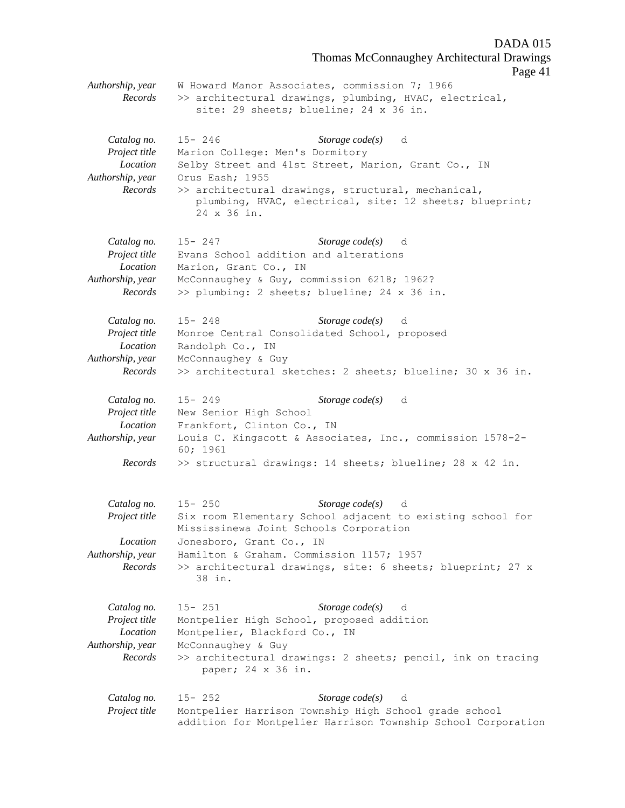Thomas McConnaughey Architectural Drawings Page 41 *Authorship, year* W Howard Manor Associates, commission 7; 1966 *Records* >> architectural drawings, plumbing, HVAC, electrical, site: 29 sheets; blueline; 24 x 36 in. *Catalog no.* 15- 246 *Storage code(s)* d *Project title* Marion College: Men's Dormitory *Location* Selby Street and 41st Street, Marion, Grant Co., IN *Authorship, year* Orus Eash; 1955 *Records* >> architectural drawings, structural, mechanical, plumbing, HVAC, electrical, site: 12 sheets; blueprint; 24 x 36 in. *Catalog no.* 15- 247 *Storage code(s)* d *Project title* Evans School addition and alterations *Location* Marion, Grant Co., IN *Authorship, year* McConnaughey & Guy, commission 6218; 1962? *Records* >> plumbing: 2 sheets; blueline; 24 x 36 in. *Catalog no.* 15- 248 *Storage code(s)* d *Project title* Monroe Central Consolidated School, proposed *Location* Randolph Co., IN *Authorship, year* McConnaughey & Guy *Records* >> architectural sketches: 2 sheets; blueline; 30 x 36 in. *Catalog no.* 15- 249 *Storage code(s)* d *Project title* New Senior High School *Location* Frankfort, Clinton Co., IN *Authorship, year* Louis C. Kingscott & Associates, Inc., commission 1578-2- 60; 1961 *Records* >> structural drawings: 14 sheets; blueline; 28 x 42 in. *Catalog no.* 15- 250 *Storage code(s)* d *Project title* Six room Elementary School adjacent to existing school for Mississinewa Joint Schools Corporation *Location* Jonesboro, Grant Co., IN *Authorship, year* Hamilton & Graham. Commission 1157; 1957 *Records* >> architectural drawings, site: 6 sheets; blueprint; 27 x 38 in. *Catalog no.* 15- 251 *Storage code(s)* d *Project title* Montpelier High School, proposed addition *Location* Montpelier, Blackford Co., IN *Authorship, year* McConnaughey & Guy *Records* >> architectural drawings: 2 sheets; pencil, ink on tracing paper; 24 x 36 in. *Catalog no.* 15- 252 *Storage code(s)* d *Project title* Montpelier Harrison Township High School grade school

addition for Montpelier Harrison Township School Corporation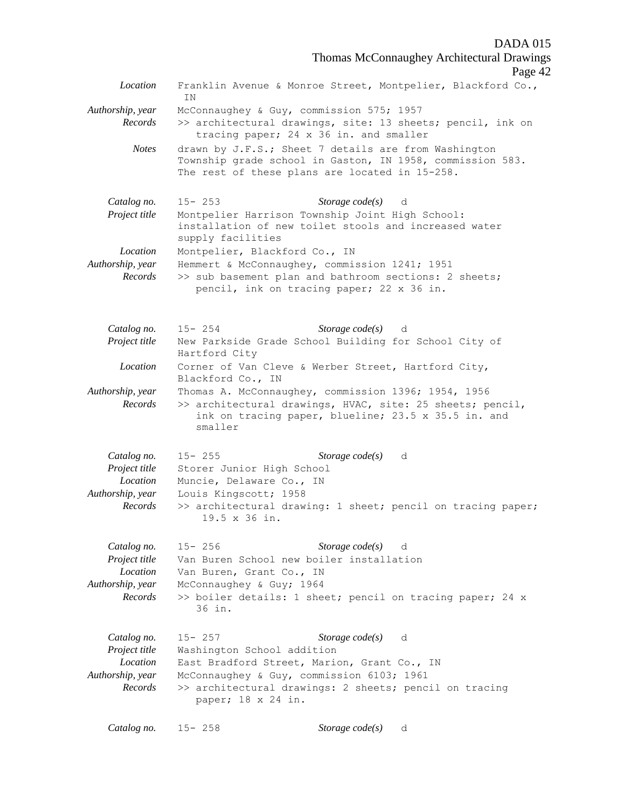Thomas McConnaughey Architectural Drawings

Page 42 *Location* Franklin Avenue & Monroe Street, Montpelier, Blackford Co., IN *Authorship, year* McConnaughey & Guy, commission 575; 1957 *Records* >> architectural drawings, site: 13 sheets; pencil, ink on tracing paper; 24 x 36 in. and smaller *Notes* drawn by J.F.S.; Sheet 7 details are from Washington Township grade school in Gaston, IN 1958, commission 583. The rest of these plans are located in 15-258. *Catalog no.* 15- 253 *Storage code(s)* d *Project title* Montpelier Harrison Township Joint High School: installation of new toilet stools and increased water supply facilities *Location* Montpelier, Blackford Co., IN *Authorship, year* Hemmert & McConnaughey, commission 1241; 1951 *Records* >> sub basement plan and bathroom sections: 2 sheets; pencil, ink on tracing paper; 22 x 36 in. *Catalog no.* 15- 254 *Storage code(s)* d *Project title* New Parkside Grade School Building for School City of Hartford City *Location* Corner of Van Cleve & Werber Street, Hartford City, Blackford Co., IN *Authorship, year* Thomas A. McConnaughey, commission 1396; 1954, 1956 *Records* >> architectural drawings, HVAC, site: 25 sheets; pencil, ink on tracing paper, blueline; 23.5 x 35.5 in. and smaller *Catalog no.* 15- 255 *Storage code(s)* d *Project title* Storer Junior High School *Location* Muncie, Delaware Co., IN *Authorship, year* Louis Kingscott; 1958 *Records* >> architectural drawing: 1 sheet; pencil on tracing paper; 19.5 x 36 in. *Catalog no.* 15- 256 *Storage code(s)* d *Project title* Van Buren School new boiler installation *Location* Van Buren, Grant Co., IN *Authorship, year* McConnaughey & Guy; 1964 *Records* >> boiler details: 1 sheet; pencil on tracing paper; 24 x 36 in. *Catalog no.* 15- 257 *Storage code(s)* d *Project title* Washington School addition *Location* East Bradford Street, Marion, Grant Co., IN *Authorship, year* McConnaughey & Guy, commission 6103; 1961 *Records* >> architectural drawings: 2 sheets; pencil on tracing paper; 18 x 24 in. *Catalog no.* 15- 258 *Storage code(s)* d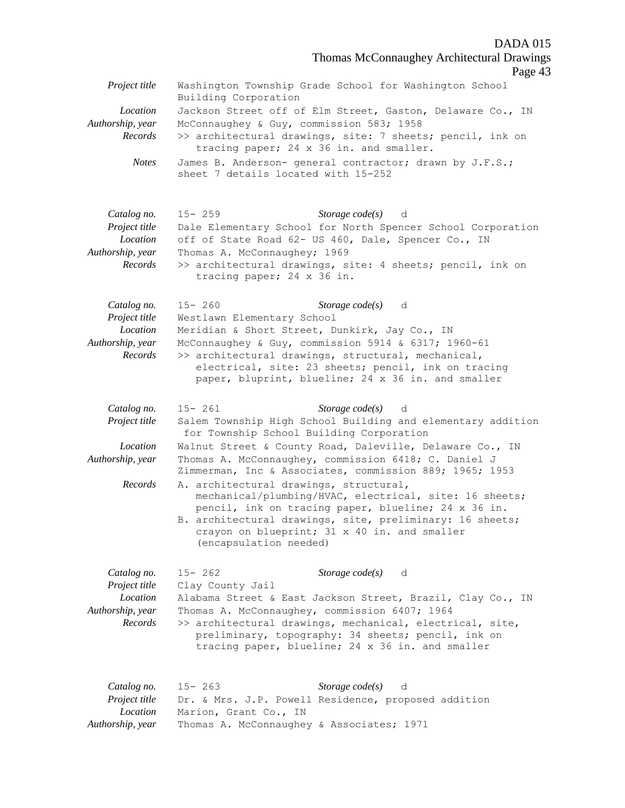Thomas McConnaughey Architectural Drawings

|                                                                         | Thomas McConnaggney Themicetural Drawings<br>Page 43                                                                                                                                                                                                                                                                                          |
|-------------------------------------------------------------------------|-----------------------------------------------------------------------------------------------------------------------------------------------------------------------------------------------------------------------------------------------------------------------------------------------------------------------------------------------|
| Project title                                                           | Washington Township Grade School for Washington School<br>Building Corporation                                                                                                                                                                                                                                                                |
| Location<br>Authorship, year<br>Records                                 | Jackson Street off of Elm Street, Gaston, Delaware Co., IN<br>McConnaughey & Guy, commission 583; 1958<br>>> architectural drawings, site: 7 sheets; pencil, ink on<br>tracing paper; 24 x 36 in. and smaller.                                                                                                                                |
| <b>Notes</b>                                                            | James B. Anderson- general contractor; drawn by J.F.S.;<br>sheet 7 details located with 15-252                                                                                                                                                                                                                                                |
| Catalog no.<br>Project title<br>Location<br>Authorship, year<br>Records | $15 - 259$<br>Storage code(s) d<br>Dale Elementary School for North Spencer School Corporation<br>off of State Road 62- US 460, Dale, Spencer Co., IN<br>Thomas A. McConnaughey; 1969<br>>> architectural drawings, site: 4 sheets; pencil, ink on<br>tracing paper; 24 x 36 in.                                                              |
| Catalog no.<br>Project title<br>Location<br>Authorship, year<br>Records | Storage $code(s)$<br>$15 - 260$<br>d<br>Westlawn Elementary School<br>Meridian & Short Street, Dunkirk, Jay Co., IN<br>McConnaughey & Guy, commission 5914 & 6317; 1960-61<br>>> architectural drawings, structural, mechanical,<br>electrical, site: 23 sheets; pencil, ink on tracing<br>paper, bluprint, blueline; 24 x 36 in. and smaller |
| Catalog no.<br>Project title                                            | Storage $code(s)$<br>$15 - 261$<br>d<br>Salem Township High School Building and elementary addition<br>for Township School Building Corporation                                                                                                                                                                                               |
| Location<br>Authorship, year                                            | Walnut Street & County Road, Daleville, Delaware Co., IN<br>Thomas A. McConnaughey, commission 6418; C. Daniel J<br>Zimmerman, Inc & Associates, commission 889; 1965; 1953                                                                                                                                                                   |
| Records                                                                 | A. architectural drawings, structural,<br>mechanical/plumbing/HVAC, electrical, site: 16 sheets;<br>pencil, ink on tracing paper, blueline; 24 x 36 in.<br>B. architectural drawings, site, preliminary: 16 sheets;<br>crayon on blueprint; 31 x 40 in. and smaller<br>(encapsulation needed)                                                 |
| Catalog no.<br>Project title<br>Location<br>Authorship, year<br>Records | $15 - 262$<br>Storage $code(s)$ d<br>Clay County Jail<br>Alabama Street & East Jackson Street, Brazil, Clay Co., IN<br>Thomas A. McConnaughey, commission 6407; 1964<br>>> architectural drawings, mechanical, electrical, site,<br>preliminary, topography: 34 sheets; pencil, ink on<br>tracing paper, blueline; 24 x 36 in. and smaller    |
| Catalog no.<br>Project title<br>Location<br>Authorship, year            | $15 - 263$<br>Storage $code(s)$<br>d<br>Dr. & Mrs. J.P. Powell Residence, proposed addition<br>Marion, Grant Co., IN<br>Thomas A. McConnaughey & Associates; 1971                                                                                                                                                                             |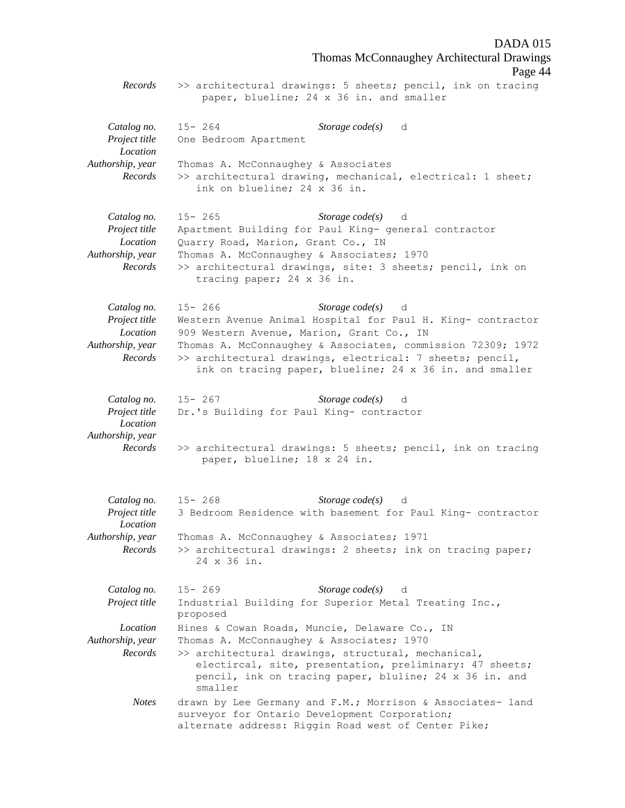DADA 015 Thomas McConnaughey Architectural Drawings Page 44 *Records* >> architectural drawings: 5 sheets; pencil, ink on tracing paper, blueline; 24 x 36 in. and smaller *Catalog no.* 15- 264 *Storage code(s)* d *Project title* One Bedroom Apartment *Location Authorship, year* Thomas A. McConnaughey & Associates *Records* >> architectural drawing, mechanical, electrical: 1 sheet; ink on blueline; 24 x 36 in. *Catalog no.* 15- 265 *Storage code(s)* d *Project title* Apartment Building for Paul King- general contractor *Location* Quarry Road, Marion, Grant Co., IN *Authorship, year* Thomas A. McConnaughey & Associates; 1970 *Records* >> architectural drawings, site: 3 sheets; pencil, ink on tracing paper; 24 x 36 in. *Catalog no.* 15- 266 *Storage code(s)* d *Project title* Western Avenue Animal Hospital for Paul H. King- contractor *Location* 909 Western Avenue, Marion, Grant Co., IN *Authorship, year* Thomas A. McConnaughey & Associates, commission 72309; 1972 *Records* >> architectural drawings, electrical: 7 sheets; pencil, ink on tracing paper, blueline; 24 x 36 in. and smaller *Catalog no.* 15- 267 *Storage code(s)* d *Project title* Dr.'s Building for Paul King- contractor *Location Authorship, year Records* >> architectural drawings: 5 sheets; pencil, ink on tracing paper, blueline; 18 x 24 in. *Catalog no.* 15- 268 *Storage code(s)* d *Project title* 3 Bedroom Residence with basement for Paul King- contractor *Location Authorship, year* Thomas A. McConnaughey & Associates; 1971 *Records* >> architectural drawings: 2 sheets; ink on tracing paper; 24 x 36 in. *Catalog no.* 15- 269 *Storage code(s)* d *Project title* Industrial Building for Superior Metal Treating Inc., proposed *Location* Hines & Cowan Roads, Muncie, Delaware Co., IN *Authorship, year* Thomas A. McConnaughey & Associates; 1970 *Records* >> architectural drawings, structural, mechanical, electircal, site, presentation, preliminary: 47 sheets; pencil, ink on tracing paper, bluline; 24 x 36 in. and smaller *Notes* drawn by Lee Germany and F.M.; Morrison & Associates- land surveyor for Ontario Development Corporation; alternate address: Riggin Road west of Center Pike;